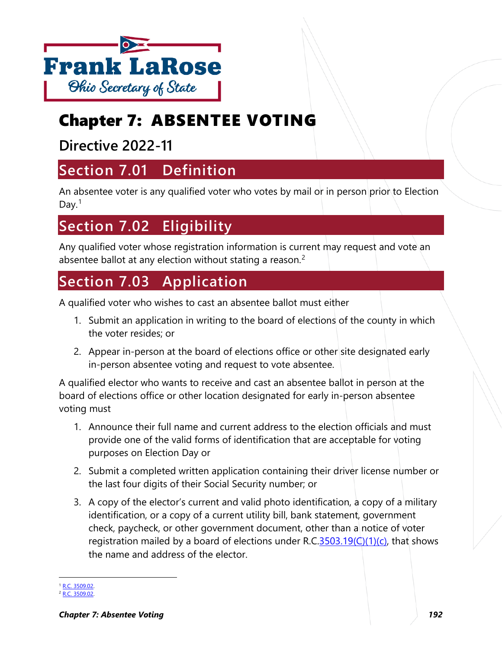

# Chapter 7: ABSENTEE VOTING

**Directive 2022-11**

# **Section 7.01 Definition**

An absentee voter is any qualified voter who votes by mail or in person prior to Election Day. $1$ 

# **Section 7.02 Eligibility**

Any qualified voter whose registration information is current may request and vote an absentee ballot at any election without stating a reason. $2$ 

# **Section 7.03 Application**

A qualified voter who wishes to cast an absentee ballot must either

- 1. Submit an application in writing to the board of elections of the county in which the voter resides; or
- 2. Appear in-person at the board of elections office or other site designated early in-person absentee voting and request to vote absentee.

A qualified elector who wants to receive and cast an absentee ballot in person at the board of elections office or other location designated for early in-person absentee voting must

- 1. Announce their full name and current address to the election officials and must provide one of the valid forms of identification that are acceptable for voting purposes on Election Day or
- 2. Submit a completed written application containing their driver license number or the last four digits of their Social Security number; or
- 3. A copy of the elector's current and valid photo identification, a copy of a military identification, or a copy of a current utility bill, bank statement, government check, paycheck, or other government document, other than a notice of voter registration mailed by a board of elections under R.C. $\frac{3503.19(0)(1)(c)}{1}$ , that shows the name and address of the elector.

<sup>&</sup>lt;sup>1</sup> [R.C. 3509.02.](http://codes.ohio.gov/orc/3509.02)

<span id="page-0-1"></span><span id="page-0-0"></span><sup>2</sup> [R.C. 3509.02.](http://codes.ohio.gov/orc/3509.02)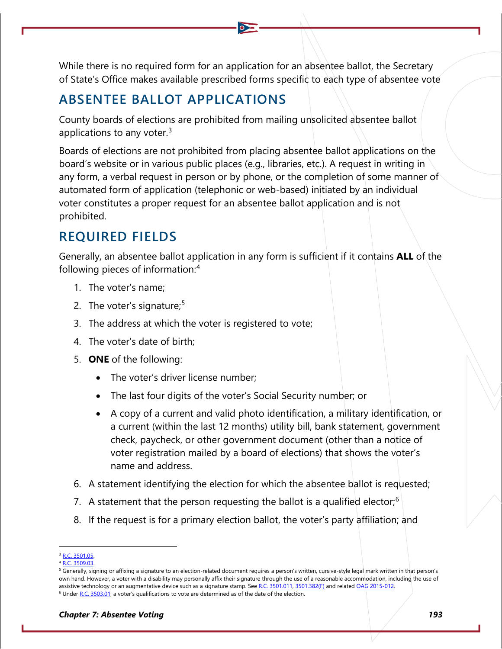While there is no required form for an application for an absentee ballot, the Secretary of State's Office makes available prescribed forms specific to each type of absentee vote

## **ABSENTEE BALLOT APPLICATIONS**

County boards of elections are prohibited from mailing unsolicited absentee ballot applications to any voter. $3$ 

Boards of elections are not prohibited from placing absentee ballot applications on the board's website or in various public places (e.g., libraries, etc.). A request in writing in any form, a verbal request in person or by phone, or the completion of some manner of automated form of application (telephonic or web-based) initiated by an individual voter constitutes a proper request for an absentee ballot application and is not prohibited.

## **REQUIRED FIELDS**

Generally, an absentee ballot application in any form is sufficient if it contains **ALL** of the following pieces of information:[4](#page-1-1)

- 1. The voter's name;
- 2. The voter's signature;<sup>[5](#page-1-2)</sup>
- 3. The address at which the voter is registered to vote;
- 4. The voter's date of birth;
- 5. **ONE** of the following:
	- The voter's driver license number;
	- The last four digits of the voter's Social Security number; or
	- A copy of a current and valid photo identification, a military identification, or a current (within the last 12 months) utility bill, bank statement, government check, paycheck, or other government document (other than a notice of voter registration mailed by a board of elections) that shows the voter's name and address.
- 6. A statement identifying the election for which the absentee ballot is requested;
- 7. A statement that the person requesting the ballot is a qualified elector; $<sup>6</sup>$  $<sup>6</sup>$  $<sup>6</sup>$ </sup>
- 8. If the request is for a primary election ballot, the voter's party affiliation; and

<span id="page-1-0"></span>[R.C. 3501.05.](http://codes.ohio.gov/orc/3501.05)

[R.C. 3509.03.](http://codes.ohio.gov/orc/3509.03)

<span id="page-1-2"></span><span id="page-1-1"></span><sup>&</sup>lt;sup>5</sup> Generally, signing or affixing a signature to an election-related document requires a person's written, cursive-style legal mark written in that person's own hand. However, a voter with a disability may personally affix their signature through the use of a reasonable accommodation, including the use of assistive technology or an augmentative device such as a signature stamp. Se[e R.C. 3501.011,](http://codes.ohio.gov/orc/3501.011) [3501.382\(F\)](http://codes.ohio.gov/orc/3501.382) and related [OAG 2015-012.](https://www.ohioattorneygeneral.gov/getattachment/1bc41cbc-8b6c-44eb-93ae-fb826e604a6c/2015-012.aspx)

<span id="page-1-3"></span><sup>&</sup>lt;sup>6</sup> Unde[r R.C. 3503.01,](http://codes.ohio.gov/orc/3503.01) a voter's qualifications to vote are determined as of the date of the election.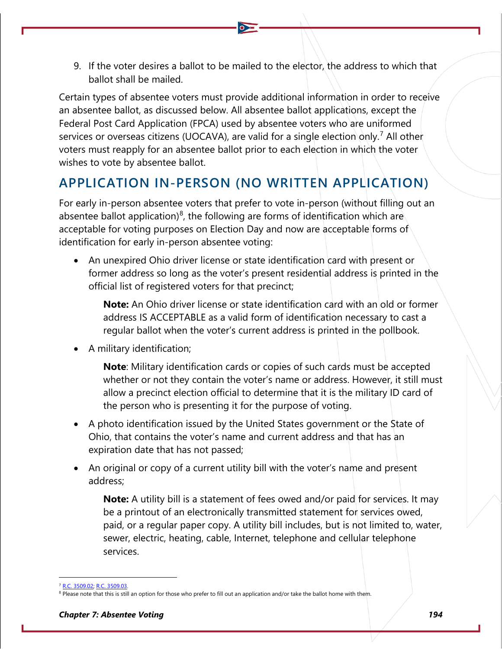9. If the voter desires a ballot to be mailed to the elector, the address to which that ballot shall be mailed.

Certain types of absentee voters must provide additional information in order to receive an absentee ballot, as discussed below. All absentee ballot applications, except the Federal Post Card Application (FPCA) used by absentee voters who are uniformed services or overseas citizens (UOCAVA), are valid for a single election only.<sup>[7](#page-2-0)</sup> All other voters must reapply for an absentee ballot prior to each election in which the voter wishes to vote by absentee ballot.

## **APPLICATION IN-PERSON (NO WRITTEN APPLICATION)**

For early in-person absentee voters that prefer to vote in-person (without filling out an absentee ballot application) $^8$  $^8$ , the following are forms of identification which are  $\,$ acceptable for voting purposes on Election Day and now are acceptable forms of identification for early in-person absentee voting:

• An unexpired Ohio driver license or state identification card with present or former address so long as the voter's present residential address is printed in the official list of registered voters for that precinct;

**Note:** An Ohio driver license or state identification card with an old or former address IS ACCEPTABLE as a valid form of identification necessary to cast a regular ballot when the voter's current address is printed in the pollbook.

• A military identification;

**Note**: Military identification cards or copies of such cards must be accepted whether or not they contain the voter's name or address. However, it still must allow a precinct election official to determine that it is the military ID card of the person who is presenting it for the purpose of voting.

- A photo identification issued by the United States government or the State of Ohio, that contains the voter's name and current address and that has an expiration date that has not passed;
- An original or copy of a current utility bill with the voter's name and present address;

**Note:** A utility bill is a statement of fees owed and/or paid for services. It may be a printout of an electronically transmitted statement for services owed, paid, or a regular paper copy. A utility bill includes, but is not limited to, water, sewer, electric, heating, cable, Internet, telephone and cellular telephone services.

<span id="page-2-0"></span><sup>7</sup> [R.C. 3509.02;](http://codes.ohio.gov/orc/3509.02) [R.C. 3509.03.](http://codes.ohio.gov/orc/3509.03)

<span id="page-2-1"></span><sup>&</sup>lt;sup>8</sup> Please note that this is still an option for those who prefer to fill out an application and/or take the ballot home with them.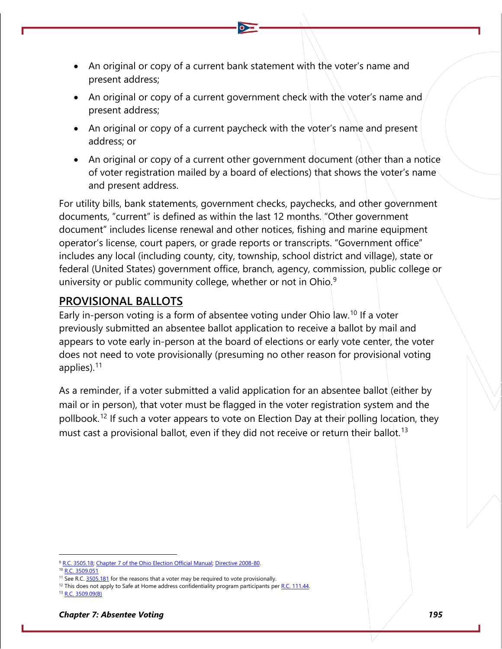- An original or copy of a current bank statement with the voter's name and present address;
- An original or copy of a current government check with the voter's name and present address;
- An original or copy of a current paycheck with the voter's name and present address; or
- An original or copy of a current other government document (other than a notice of voter registration mailed by a board of elections) that shows the voter's name and present address.

For utility bills, bank statements, government checks, paychecks, and other government documents, "current" is defined as within the last 12 months. "Other government document" includes license renewal and other notices, fishing and marine equipment operator's license, court papers, or grade reports or transcripts. "Government office" includes any local (including county, city, township, school district and village), state or federal (United States) government office, branch, agency, commission, public college or university or public community college, whether or not in Ohio.<sup>[9](#page-3-0)</sup>

### **PROVISIONAL BALLOTS**

Early in-person voting is a form of absentee voting under Ohio law.<sup>[10](#page-3-1)</sup> If a voter previously submitted an absentee ballot application to receive a ballot by mail and appears to vote early in-person at the board of elections or early vote center, the voter does not need to vote provisionally (presuming no other reason for provisional voting applies). $11$ 

As a reminder, if a voter submitted a valid application for an absentee ballot (either by mail or in person), that voter must be flagged in the voter registration system and the pollbook.<sup>[12](#page-3-3)</sup> If such a voter appears to vote on Election Day at their polling location, they must cast a provisional ballot, even if they did not receive or return their ballot.<sup>[13](#page-3-4)</sup>

<span id="page-3-0"></span>[R.C. 3505.18;](http://codes.ohio.gov/orc/3503.18) Chapter 7 of the Ohio Election Official Manual[; Directive 2008-80.](https://www.ohiosos.gov/globalassets/elections/directives/2008/dir2008-80.pdf)

<span id="page-3-2"></span><span id="page-3-1"></span> $^{10}$  [R.C. 3509.051](https://codes.ohio.gov/ohio-revised-code/section-3509.051)

<sup>&</sup>lt;sup>11</sup> See R.C. **3505.181** for the reasons that a voter may be required to vote provisionally.

<span id="page-3-3"></span> $12$  This does not apply to Safe at Home address confidentiality program participants pe[r R.C. 111.44.](https://codes.ohio.gov/ohio-revised-code/section-111.44)

<span id="page-3-4"></span><sup>&</sup>lt;sup>3</sup> [R.C. 3509.09\(B\)](https://codes.ohio.gov/ohio-revised-code/section-3509.09)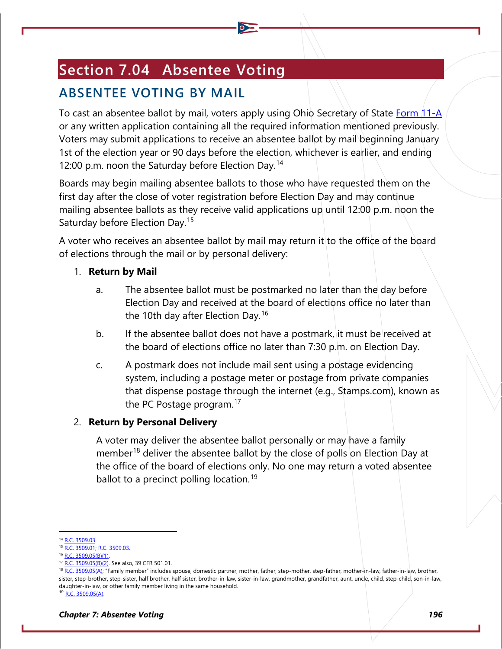# <span id="page-4-6"></span>**Section 7.04 Absentee Voting**

## **ABSENTEE VOTING BY MAIL**

To cast an absentee ballot by mail, voters apply using Ohio Secretary of State [Form 11-A](https://www.ohiosos.gov/globalassets/elections/forms/11-a_english.pdf) or any written application containing all the required information mentioned previously. Voters may submit applications to receive an absentee ballot by mail beginning January 1st of the election year or 90 days before the election, whichever is earlier, and ending 12:00 p.m. noon the Saturday before Election Day.<sup>[14](#page-4-0)</sup>

Boards may begin mailing absentee ballots to those who have requested them on the first day after the close of voter registration before Election Day and may continue mailing absentee ballots as they receive valid applications up until 12:00 p.m. noon the Saturday before Election Day.[15](#page-4-1)

A voter who receives an absentee ballot by mail may return it to the office of the board of elections through the mail or by personal delivery:

#### 1. **Return by Mail**

- a. The absentee ballot must be postmarked no later than the day before Election Day and received at the board of elections office no later than the 10th day after Election Day.<sup>[16](#page-4-2)</sup>
- b. If the absentee ballot does not have a postmark, it must be received at the board of elections office no later than 7:30 p.m. on Election Day.
- c. A postmark does not include mail sent using a postage evidencing system, including a postage meter or postage from private companies that dispense postage through the internet (e.g., Stamps.com), known as the PC Postage program. $17$

#### 2. **Return by Personal Delivery**

A voter may deliver the absentee ballot personally or may have a family member<sup>[18](#page-4-4)</sup> deliver the absentee ballot by the close of polls on Election Day at the office of the board of elections only. No one may return a voted absentee ballot to a precinct polling location.<sup>[19](#page-4-5)</sup>

<span id="page-4-0"></span><sup>&</sup>lt;sup>14</sup> [R.C. 3509.03.](http://codes.ohio.gov/orc/3509.03)

<span id="page-4-2"></span><span id="page-4-1"></span><sup>15</sup> [R.C. 3509.01;](http://codes.ohio.gov/orc/3509.01) [R.C. 3509.03.](http://codes.ohio.gov/orc/3509.03)

<sup>&</sup>lt;sup>16</sup> [R.C. 3509.05\(B\)\(1\).](http://codes.ohio.gov/orc/3509.05)

<sup>&</sup>lt;sup>17</sup> [R.C. 3509.05\(B\)\(2\).](http://codes.ohio.gov/orc/3509.05) See also, 39 CFR 501.01.

<span id="page-4-5"></span><span id="page-4-4"></span><span id="page-4-3"></span><sup>&</sup>lt;sup>18</sup> [R.C. 3509.05\(A\);](http://codes.ohio.gov/orc/3509.05) "Family member" includes spouse, domestic partner, mother, father, step-mother, step-father, mother-in-law, father-in-law, brother, sister, step-brother, step-sister, half brother, half sister, brother-in-law, sister-in-law, grandmother, grandfather, aunt, uncle, child, step-child, son-in-law, daughter-in-law, or other family member living in the same household. <sup>19</sup> [R.C. 3509.05\(A\).](http://codes.ohio.gov/orc/3509.05)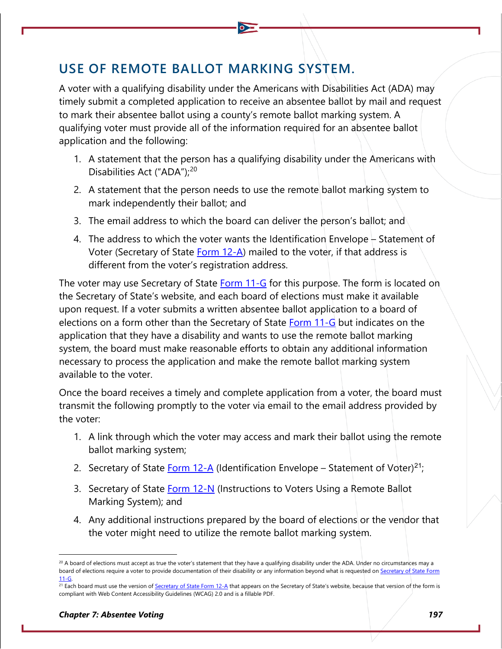## **USE OF REMOTE BALLOT MARKING SYSTEM.**

A voter with a qualifying disability under the Americans with Disabilities Act (ADA) may timely submit a completed application to receive an absentee ballot by mail and request to mark their absentee ballot using a county's remote ballot marking system. A qualifying voter must provide all of the information required for an absentee ballot application and the following:

- 1. A statement that the person has a qualifying disability under the Americans with Disabilities Act ("ADA");<sup>[20](#page-5-0)</sup>
- 2. A statement that the person needs to use the remote ballot marking system to mark independently their ballot; and
- 3. The email address to which the board can deliver the person's ballot; and
- 4. The address to which the voter wants the Identification Envelope  $-$  Statement of Voter (Secretary of State [Form 12-A\)](https://www.sos.state.oh.us/globalassets/elections/forms/12-a_english.pdf) mailed to the voter, if that address is different from the voter's registration address.

The voter may use Secretary of State [Form 11-G](https://www.ohiosos.gov/globalassets/elections/forms/11-g2.pdf) for this purpose. The form is located on the Secretary of State's website, and each board of elections must make it available upon request. If a voter submits a written absentee ballot application to a board of elections on a form other than the Secretary of State [Form 11-G](https://www.ohiosos.gov/globalassets/elections/forms/11-g2.pdf) but indicates on the application that they have a disability and wants to use the remote ballot marking system, the board must make reasonable efforts to obtain any additional information necessary to process the application and make the remote ballot marking system available to the voter.

Once the board receives a timely and complete application from a voter, the board must transmit the following promptly to the voter via email to the email address provided by the voter:

- 1. A link through which the voter may access and mark their ballot using the remote ballot marking system;
- 2. Secretary of State [Form 12-A](https://www.sos.state.oh.us/globalassets/elections/forms/12-a_english.pdf) (Identification Envelope Statement of Voter)<sup>[21](#page-5-1)</sup>;
- 3. Secretary of State **Form 12-N** (Instructions to Voters Using a Remote Ballot Marking System); and
- 4. Any additional instructions prepared by the board of elections or the vendor that the voter might need to utilize the remote ballot marking system.

<span id="page-5-0"></span> $^{20}$  A board of elections must accept as true the voter's statement that they have a qualifying disability under the ADA. Under no circumstances may a board of elections require a voter to provide documentation of their disability or any information beyond what is requested on Secretary of State Form [11-G.](https://www.ohiosos.gov/globalassets/elections/forms/11-g2.pdf)

<span id="page-5-1"></span><sup>&</sup>lt;sup>21</sup> Each board must use the version o[f Secretary of State Form 12-A](https://www.sos.state.oh.us/globalassets/elections/forms/12-a_english.pdf) that appears on the Secretary of State's website, because that version of the form is compliant with Web Content Accessibility Guidelines (WCAG) 2.0 and is a fillable PDF.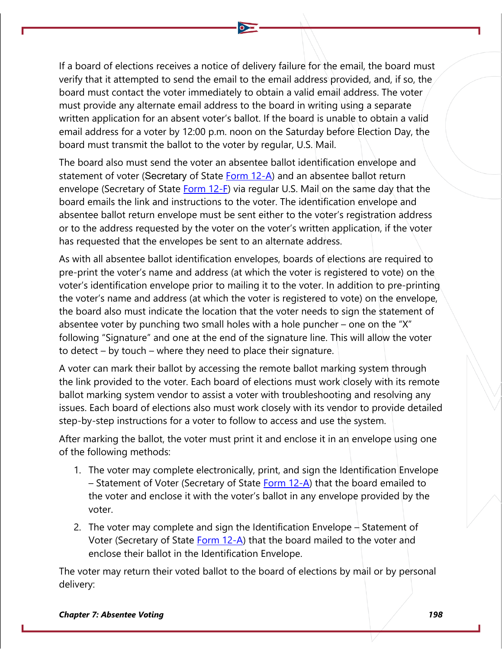If a board of elections receives a notice of delivery failure for the email, the board must verify that it attempted to send the email to the email address provided, and, if so, the board must contact the voter immediately to obtain a valid email address. The voter must provide any alternate email address to the board in writing using a separate written application for an absent voter's ballot. If the board is unable to obtain a valid email address for a voter by 12:00 p.m. noon on the Saturday before Election Day, the board must transmit the ballot to the voter by regular, U.S. Mail.

The board also must send the voter an absentee ballot identification envelope and statement of voter (Secretary of State [Form 12-A\)](https://www.ohiosos.gov/globalassets/elections/forms/12-a_english.pdf) and an absentee ballot return envelope (Secretary of State [Form 12-F\)](https://www.ohiosos.gov/globalassets/elections/forms/12-f.pdf) via regular U.S. Mail on the same day that the board emails the link and instructions to the voter. The identification envelope and absentee ballot return envelope must be sent either to the voter's registration address or to the address requested by the voter on the voter's written application, if the voter has requested that the envelopes be sent to an alternate address.

As with all absentee ballot identification envelopes, boards of elections are required to pre-print the voter's name and address (at which the voter is registered to vote) on the voter's identification envelope prior to mailing it to the voter. In addition to pre-printing the voter's name and address (at which the voter is registered to vote) on the envelope, the board also must indicate the location that the voter needs to sign the statement of absentee voter by punching two small holes with a hole puncher – one on the "X" following "Signature" and one at the end of the signature line. This will allow the voter to detect – by touch – where they need to place their signature.

A voter can mark their ballot by accessing the remote ballot marking system through the link provided to the voter. Each board of elections must work closely with its remote ballot marking system vendor to assist a voter with troubleshooting and resolving any issues. Each board of elections also must work closely with its vendor to provide detailed step-by-step instructions for a voter to follow to access and use the system.

After marking the ballot, the voter must print it and enclose it in an envelope using one of the following methods:

- 1. The voter may complete electronically, print, and sign the Identification Envelope – Statement of Voter (Secretary of State [Form 12-A\)](https://www.ohiosos.gov/globalassets/elections/forms/12-a_english.pdf) that the board emailed to the voter and enclose it with the voter's ballot in any envelope provided by the voter.
- 2. The voter may complete and sign the Identification Envelope  $-$  Statement of Voter (Secretary of State [Form 12-A\)](https://www.ohiosos.gov/globalassets/elections/forms/12-a_english.pdf) that the board mailed to the voter and enclose their ballot in the Identification Envelope.

The voter may return their voted ballot to the board of elections by mail or by personal delivery: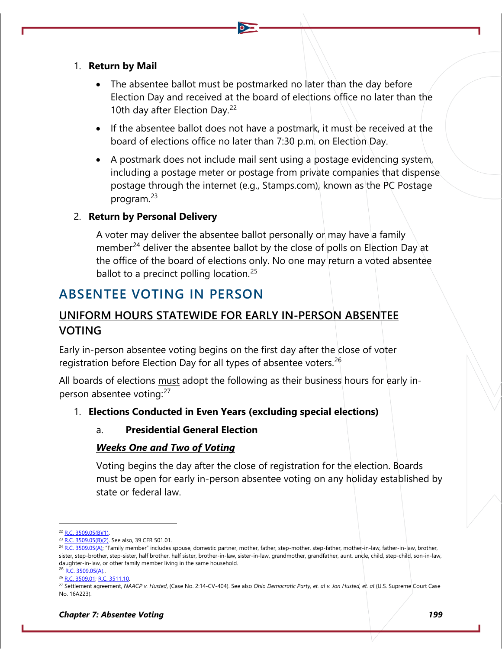#### 1. **Return by Mail**

- The absentee ballot must be postmarked no later than the day before Election Day and received at the board of elections office no later than the 10th day after Election Day.<sup>[22](#page-7-0)</sup>
- If the absentee ballot does not have a postmark, it must be received at the board of elections office no later than 7:30 p.m. on Election Day.
- A postmark does not include mail sent using a postage evidencing system, including a postage meter or postage from private companies that dispense postage through the internet (e.g., Stamps.com), known as the PC Postage program.[23](#page-7-1)

#### 2. **Return by Personal Delivery**

A voter may deliver the absentee ballot personally or may have a family member<sup>[24](#page-7-2)</sup> deliver the absentee ballot by the close of polls on Election Day at the office of the board of elections only. No one may return a voted absentee ballot to a precinct polling location.<sup>[25](#page-7-3)</sup>

## **ABSENTEE VOTING IN PERSON**

### **UNIFORM HOURS STATEWIDE FOR EARLY IN-PERSON ABSENTEE VOTING**

Early in-person absentee voting begins on the first day after the close of voter registration before Election Day for all types of absentee voters.<sup>[26](#page-7-4)</sup>

All boards of elections must adopt the following as their business hours for early inperson absentee voting:[27](#page-7-5)

#### 1. **Elections Conducted in Even Years (excluding special elections)**

#### a. **Presidential General Election**

#### *Weeks One and Two of Voting*

Voting begins the day after the close of registration for the election. Boards must be open for early in-person absentee voting on any holiday established by state or federal law.

<span id="page-7-0"></span> $2^2$  R.C. 3509.05(B)(1)

<sup>&</sup>lt;sup>23</sup> [R.C. 3509.05\(B\)\(2\).](http://codes.ohio.gov/orc/3509.05) See also, 39 CFR 501.01.

<span id="page-7-2"></span><span id="page-7-1"></span><sup>&</sup>lt;sup>24</sup> [R.C. 3509.05\(A\);](http://codes.ohio.gov/orc/3509.05) "Family member" includes spouse, domestic partner, mother, father, step-mother, step-father, mother-in-law, father-in-law, brother, sister, step-brother, step-sister, half brother, half sister, brother-in-law, sister-in-law, grandmother, grandfather, aunt, uncle, child, step-child, son-in-law, daughter-in-law, or other family member living in the same household.

<span id="page-7-3"></span> $25$  [R.C. 3509.05\(A\)..](http://codes.ohio.gov/orc/3509.05)

<sup>26</sup> [R.C. 3509.01;](http://codes.ohio.gov/orc/3509.01) [R.C. 3511.10.](http://codes.ohio.gov/orc/3511.10)

<span id="page-7-5"></span><span id="page-7-4"></span><sup>27</sup> Settlement agreement, *NAACP v. Husted*, (Case No. 2:14-CV-404). See also *Ohio Democratic Party, et. al v. Jon Husted, et. al* (U.S. Supreme Court Case No. 16A223).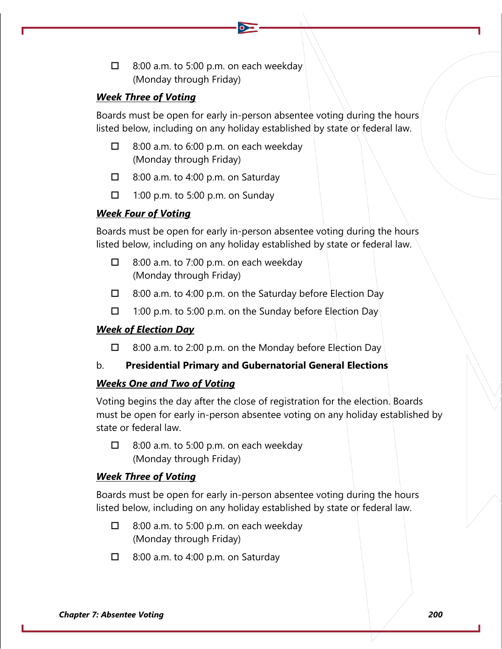$\Box$  8:00 a.m. to 5:00 p.m. on each weekday (Monday through Friday)

#### *Week Three of Voting*

Boards must be open for early in-person absentee voting during the hours listed below, including on any holiday established by state or federal law.

- 8:00 a.m. to 6:00 p.m. on each weekday (Monday through Friday)
- $\Box$  8:00 a.m. to 4:00 p.m. on Saturday
- $\Box$  1:00 p.m. to 5:00 p.m. on Sunday

#### *Week Four of Voting*

Boards must be open for early in-person absentee voting during the hours listed below, including on any holiday established by state or federal law.

- $\Box$  8:00 a.m. to 7:00 p.m. on each weekday (Monday through Friday)
- □ 8:00 a.m. to 4:00 p.m. on the Saturday before Election Day
- $\Box$  1:00 p.m. to 5:00 p.m. on the Sunday before Election Day

#### *Week of Election Day*

 $\Box$  8:00 a.m. to 2:00 p.m. on the Monday before Election Day

#### b. **Presidential Primary and Gubernatorial General Elections**

#### *Weeks One and Two of Voting*

Voting begins the day after the close of registration for the election. Boards must be open for early in-person absentee voting on any holiday established by state or federal law.

 $\Box$  8:00 a.m. to 5:00 p.m. on each weekday (Monday through Friday)

#### *Week Three of Voting*

Boards must be open for early in-person absentee voting during the hours listed below, including on any holiday established by state or federal law.

- $\Box$  8:00 a.m. to 5:00 p.m. on each weekday (Monday through Friday)
- $\Box$  8:00 a.m. to 4:00 p.m. on Saturday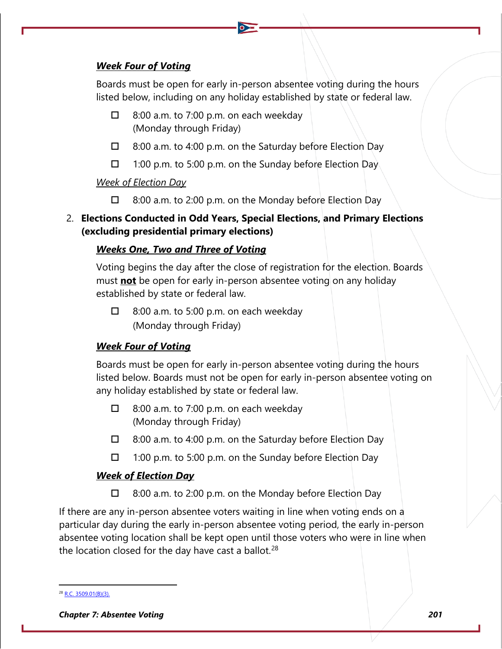#### *Week Four of Voting*

Boards must be open for early in-person absentee voting during the hours listed below, including on any holiday established by state or federal law.

- 8:00 a.m. to 7:00 p.m. on each weekday (Monday through Friday)
- 8:00 a.m. to 4:00 p.m. on the Saturday before Election Day
- $\Box$  1:00 p.m. to 5:00 p.m. on the Sunday before Election Day

### *Week of Election Day*

8:00 a.m. to 2:00 p.m. on the Monday before Election Day

### 2. **Elections Conducted in Odd Years, Special Elections, and Primary Elections (excluding presidential primary elections)**

### *Weeks One, Two and Three of Voting*

Voting begins the day after the close of registration for the election. Boards must **not** be open for early in-person absentee voting on any holiday established by state or federal law.

 $\Box$  8:00 a.m. to 5:00 p.m. on each weekday (Monday through Friday)

### *Week Four of Voting*

Boards must be open for early in-person absentee voting during the hours listed below. Boards must not be open for early in-person absentee voting on any holiday established by state or federal law.

- $\Box$  8:00 a.m. to 7:00 p.m. on each weekday (Monday through Friday)
- □ 8:00 a.m. to 4:00 p.m. on the Saturday before Election Day
- 1:00 p.m. to 5:00 p.m. on the Sunday before Election Day

### *Week of Election Day*

8:00 a.m. to 2:00 p.m. on the Monday before Election Day

If there are any in-person absentee voters waiting in line when voting ends on a particular day during the early in-person absentee voting period, the early in-person absentee voting location shall be kept open until those voters who were in line when the location closed for the day have cast a ballot.<sup>[28](#page-9-0)</sup>

<span id="page-9-0"></span><sup>28</sup> [R.C. 3509.01\(B\)\(3\).](http://codes.ohio.gov/orc/3509.01)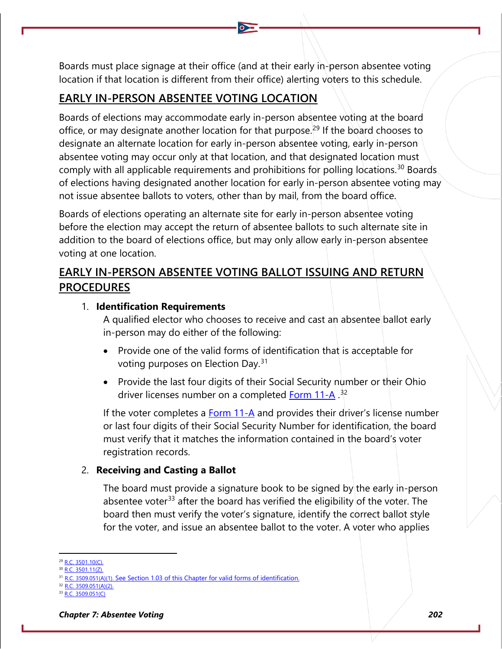Boards must place signage at their office (and at their early in-person absentee voting location if that location is different from their office) alerting voters to this schedule.

#### **EARLY IN-PERSON ABSENTEE VOTING LOCATION**

Boards of elections may accommodate early in-person absentee voting at the board office, or may designate another location for that purpose.<sup>[29](#page-10-0)</sup> If the board chooses to designate an alternate location for early in-person absentee voting, early in-person absentee voting may occur only at that location, and that designated location must comply with all applicable requirements and prohibitions for polling locations.<sup>[30](#page-10-1)</sup> Boards. of elections having designated another location for early in-person absentee voting may not issue absentee ballots to voters, other than by mail, from the board office.

Boards of elections operating an alternate site for early in-person absentee voting before the election may accept the return of absentee ballots to such alternate site in addition to the board of elections office, but may only allow early in-person absentee voting at one location.

### **EARLY IN-PERSON ABSENTEE VOTING BALLOT ISSUING AND RETURN PROCEDURES**

#### 1. **Identification Requirements**

A qualified elector who chooses to receive and cast an absentee ballot early in-person may do either of the following:

- Provide one of the valid forms of identification that is acceptable for voting purposes on Election Day.<sup>[31](#page-10-2)</sup>
- Provide the last four digits of their Social Security number or their Ohio driver licenses number on a completed [Form 11-A](https://www.sos.state.oh.us/globalassets/elections/forms/11-a_english.pdf).<sup>[32](#page-10-3)</sup>

If the voter completes a  $Form 11-A$  and provides their driver's license number or last four digits of their Social Security Number for identification, the board must verify that it matches the information contained in the board's voter registration records.

#### 2. **Receiving and Casting a Ballot**

The board must provide a signature book to be signed by the early in-person absentee voter<sup>[33](#page-10-4)</sup> after the board has verified the eligibility of the voter. The board then must verify the voter's signature, identify the correct ballot style for the voter, and issue an absentee ballot to the voter. A voter who applies

<span id="page-10-1"></span><span id="page-10-0"></span><sup>&</sup>lt;sup>9</sup> [R.C. 3501.10\(C\).](http://codes.ohio.gov/orc/3501.10)

[R.C. 3501.11\(Z\).](http://codes.ohio.gov/orc/3501.11)

<sup>31</sup> [R.C. 3509.051\(A\)\(1\).](https://codes.ohio.gov/ohio-revised-code/section-3509.051) See Section 1.03 of this Chapter for valid forms of identification.

<span id="page-10-3"></span><span id="page-10-2"></span>[R.C. 3509.051\(A\)\(2\).](https://codes.ohio.gov/ohio-revised-code/section-3509.051)

<span id="page-10-4"></span><sup>33</sup> [R.C. 3509.051\(C\)](http://codes.ohio.gov/orc/3509.051)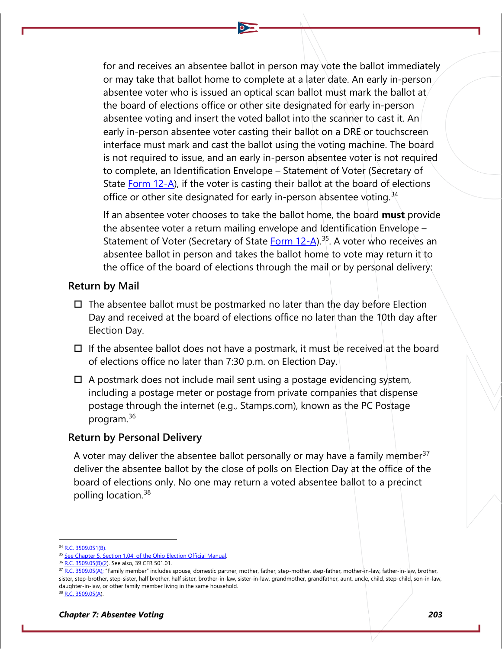for and receives an absentee ballot in person may vote the ballot immediately or may take that ballot home to complete at a later date. An early in-person absentee voter who is issued an optical scan ballot must mark the ballot at the board of elections office or other site designated for early in-person absentee voting and insert the voted ballot into the scanner to cast it. An early in-person absentee voter casting their ballot on a DRE or touchscreen interface must mark and cast the ballot using the voting machine. The board is not required to issue, and an early in-person absentee voter is not required to complete, an Identification Envelope – Statement of Voter (Secretary of State **Form 12-A**), if the voter is casting their ballot at the board of elections office or other site designated for early in-person absentee voting.<sup>[34](#page-11-0)</sup>

If an absentee voter chooses to take the ballot home, the board **must** provide the absentee voter a return mailing envelope and Identification Envelope – Statement of Voter (Secretary of State Form  $12-A$ ).<sup>[35](#page-11-1)</sup>. A voter who receives an absentee ballot in person and takes the ballot home to vote may return it to the office of the board of elections through the mail or by personal delivery:

#### **Return by Mail**

- $\Box$  The absentee ballot must be postmarked no later than the day before Election Day and received at the board of elections office no later than the 10th day after Election Day.
- $\Box$  If the absentee ballot does not have a postmark, it must be received at the board of elections office no later than 7:30 p.m. on Election Day.
- $\Box$  A postmark does not include mail sent using a postage evidencing system, including a postage meter or postage from private companies that dispense postage through the internet (e.g., Stamps.com), known as the PC Postage program.[36](#page-11-2)

#### **Return by Personal Delivery**

A voter may deliver the absentee ballot personally or may have a family member<sup>[37](#page-11-3)</sup> deliver the absentee ballot by the close of polls on Election Day at the office of the board of elections only. No one may return a voted absentee ballot to a precinct polling location.[38](#page-11-4)

<sup>&</sup>lt;sup>4</sup> [R.C. 3509.051\(B\).](http://codes.ohio.gov/orc/3509.051)

<span id="page-11-1"></span><span id="page-11-0"></span><sup>&</sup>lt;sup>35</sup> [See Chapter 5, Section 1.04, of the Ohio Election Official Manual.](#page-4-6)

<span id="page-11-2"></span><sup>&</sup>lt;sup>36</sup> [R.C. 3509.05\(B\)\(2\).](http://codes.ohio.gov/orc/3509.05) See also, 39 CFR 501.01.

<span id="page-11-4"></span><span id="page-11-3"></span><sup>37</sup> [R.C. 3509.05\(A\);](http://codes.ohio.gov/orc/3509.05) "Family member" includes spouse, domestic partner, mother, father, step-mother, step-father, mother-in-law, father-in-law, brother, sister, step-brother, step-sister, half brother, half sister, brother-in-law, sister-in-law, grandmother, grandfather, aunt, uncle, child, step-child, son-in-law, daughter-in-law, or other family member living in the same household. <sup>38</sup> [R.C. 3509.05\(A\)](http://codes.ohio.gov/orc/3509.05).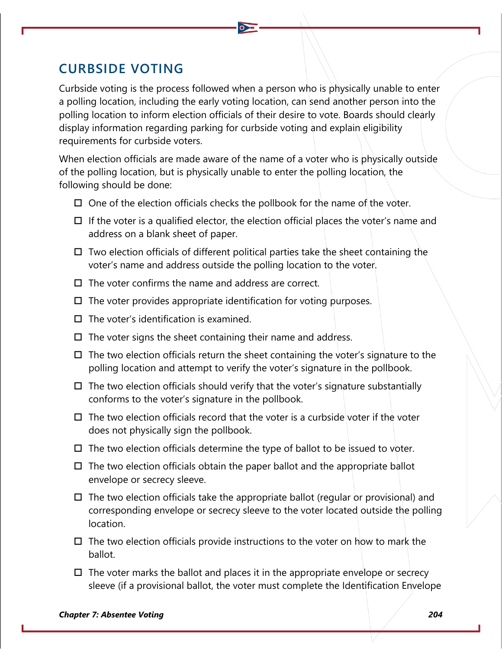## **CURBSIDE VOTING**

Curbside voting is the process followed when a person who is physically unable to enter a polling location, including the early voting location, can send another person into the polling location to inform election officials of their desire to vote. Boards should clearly display information regarding parking for curbside voting and explain eligibility requirements for curbside voters.

When election officials are made aware of the name of a voter who is physically outside of the polling location, but is physically unable to enter the polling location, the following should be done:

- $\Box$  One of the election officials checks the pollbook for the name of the voter.
- $\Box$  If the voter is a qualified elector, the election official places the voter's name and address on a blank sheet of paper.
- $\square$  Two election officials of different political parties take the sheet containing the voter's name and address outside the polling location to the voter.
- $\Box$  The voter confirms the name and address are correct.
- $\Box$  The voter provides appropriate identification for voting purposes.
- $\Box$  The voter's identification is examined.
- $\Box$  The voter signs the sheet containing their name and address.
- $\Box$  The two election officials return the sheet containing the voter's signature to the polling location and attempt to verify the voter's signature in the pollbook.
- $\Box$  The two election officials should verify that the voter's signature substantially conforms to the voter's signature in the pollbook.
- $\Box$  The two election officials record that the voter is a curbside voter if the voter does not physically sign the pollbook.
- $\Box$  The two election officials determine the type of ballot to be issued to voter.
- $\Box$  The two election officials obtain the paper ballot and the appropriate ballot envelope or secrecy sleeve.
- $\Box$  The two election officials take the appropriate ballot (regular or provisional) and corresponding envelope or secrecy sleeve to the voter located outside the polling location.
- $\Box$  The two election officials provide instructions to the voter on how to mark the ballot.
- $\Box$  The voter marks the ballot and places it in the appropriate envelope or secrecy sleeve (if a provisional ballot, the voter must complete the Identification Envelope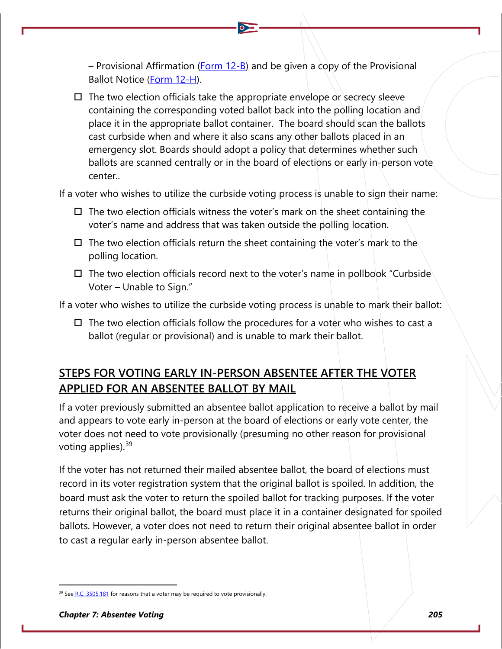– Provisional Affirmation (Form  $12$ -B) and be given a copy of the Provisional Ballot Notice [\(Form 12-H\)](https://www.ohiosos.gov/globalassets/elections/forms/2020/12-h_bilingual.pdf).

 $\Box$  The two election officials take the appropriate envelope or secrecy sleeve containing the corresponding voted ballot back into the polling location and place it in the appropriate ballot container. The board should scan the ballots cast curbside when and where it also scans any other ballots placed in an emergency slot. Boards should adopt a policy that determines whether such ballots are scanned centrally or in the board of elections or early in-person vote center..

If a voter who wishes to utilize the curbside voting process is unable to sign their name:

- $\Box$  The two election officials witness the voter's mark on the sheet containing the voter's name and address that was taken outside the polling location.
- $\square$  The two election officials return the sheet containing the voter's mark to the polling location.
- $\Box$  The two election officials record next to the voter's name in pollbook "Curbside" Voter – Unable to Sign."

If a voter who wishes to utilize the curbside voting process is unable to mark their ballot:

 $\Box$  The two election officials follow the procedures for a voter who wishes to cast a ballot (regular or provisional) and is unable to mark their ballot.

### **STEPS FOR VOTING EARLY IN-PERSON ABSENTEE AFTER THE VOTER APPLIED FOR AN ABSENTEE BALLOT BY MAIL**

If a voter previously submitted an absentee ballot application to receive a ballot by mail and appears to vote early in-person at the board of elections or early vote center, the voter does not need to vote provisionally (presuming no other reason for provisional voting applies).  $39$ 

If the voter has not returned their mailed absentee ballot, the board of elections must record in its voter registration system that the original ballot is spoiled. In addition, the board must ask the voter to return the spoiled ballot for tracking purposes. If the voter returns their original ballot, the board must place it in a container designated for spoiled ballots. However, a voter does not need to return their original absentee ballot in order to cast a regular early in-person absentee ballot.

<span id="page-13-0"></span><sup>&</sup>lt;sup>39</sup> See [R.C. 3505.181](http://codes.ohio.gov/orc/3505.181) for reasons that a voter may be required to vote provisionally.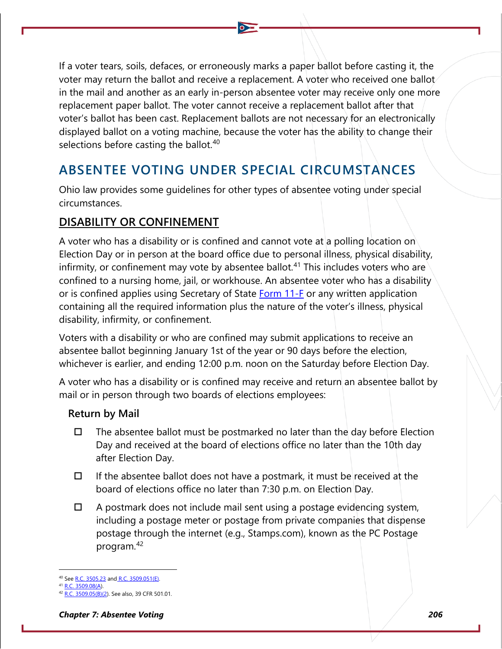If a voter tears, soils, defaces, or erroneously marks a paper ballot before casting it, the voter may return the ballot and receive a replacement. A voter who received one ballot in the mail and another as an early in-person absentee voter may receive only one more replacement paper ballot. The voter cannot receive a replacement ballot after that voter's ballot has been cast. Replacement ballots are not necessary for an electronically displayed ballot on a voting machine, because the voter has the ability to change their selections before casting the ballot.<sup>[40](#page-14-0)</sup>

## **ABSENTEE VOTING UNDER SPECIAL CIRCUMSTANCES**

Ohio law provides some guidelines for other types of absentee voting under special circumstances.

### **DISABILITY OR CONFINEMENT**

A voter who has a disability or is confined and cannot vote at a polling location on Election Day or in person at the board office due to personal illness, physical disability, infirmity, or confinement may vote by absentee ballot.<sup>[41](#page-14-1)</sup> This includes voters who are confined to a nursing home, jail, or workhouse. An absentee voter who has a disability or is confined applies using Secretary of State [Form 11-F](https://www.ohiosos.gov/globalassets/elections/forms/11-f.pdf) or any written application containing all the required information plus the nature of the voter's illness, physical disability, infirmity, or confinement.

Voters with a disability or who are confined may submit applications to receive an absentee ballot beginning January 1st of the year or 90 days before the election, whichever is earlier, and ending 12:00 p.m. noon on the Saturday before Election Day.

A voter who has a disability or is confined may receive and return an absentee ballot by mail or in person through two boards of elections employees:

#### **Return by Mail**

- $\Box$  The absentee ballot must be postmarked no later than the day before Election Day and received at the board of elections office no later than the 10th day after Election Day.
- $\Box$  If the absentee ballot does not have a postmark, it must be received at the board of elections office no later than 7:30 p.m. on Election Day.
- $\Box$  A postmark does not include mail sent using a postage evidencing system, including a postage meter or postage from private companies that dispense postage through the internet (e.g., Stamps.com), known as the PC Postage program.[42](#page-14-2)

 $^{0}$  Se[e R.C. 3505.23](http://codes.ohio.gov/orc/3505.23) and [R.C. 3509.051\(E\).](http://codes.ohio.gov/orc/3509.051)

<span id="page-14-1"></span><span id="page-14-0"></span><sup>&</sup>lt;sup>1</sup> R.C. 3509,08(A).

<span id="page-14-2"></span>[R.C. 3509.05\(B\)\(2\).](http://codes.ohio.gov/orc/3509.05) See also, 39 CFR 501.01.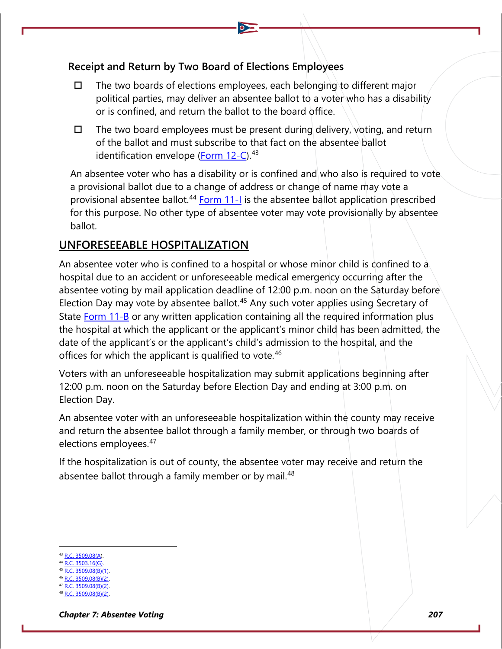### **Receipt and Return by Two Board of Elections Employees**

- $\Box$  The two boards of elections employees, each belonging to different major political parties, may deliver an absentee ballot to a voter who has a disability or is confined, and return the ballot to the board office.
- $\Box$  The two board employees must be present during delivery, voting, and return of the ballot and must subscribe to that fact on the absentee ballot identification envelope [\(Form 12-C\)](https://www.ohiosos.gov/globalassets/elections/forms/12-c.pdf).<sup>[43](#page-15-0)</sup>

An absentee voter who has a disability or is confined and who also is required to vote. a provisional ballot due to a change of address or change of name may vote a provisional absentee ballot.<sup>[44](#page-15-1)</sup> [Form 11-I](https://www.ohiosos.gov/globalassets/elections/forms/11-i.pdf) is the absentee ballot application prescribed for this purpose. No other type of absentee voter may vote provisionally by absentee ballot.

### **UNFORESEEABLE HOSPITALIZATION**

An absentee voter who is confined to a hospital or whose minor child is confined to a hospital due to an accident or unforeseeable medical emergency occurring after the absentee voting by mail application deadline of 12:00 p.m. noon on the Saturday before Election Day may vote by absentee ballot.[45](#page-15-2) Any such voter applies using Secretary of State [Form 11-B](https://www.ohiosos.gov/globalassets/elections/forms/11-b.pdf) or any written application containing all the required information plus the hospital at which the applicant or the applicant's minor child has been admitted, the date of the applicant's or the applicant's child's admission to the hospital, and the offices for which the applicant is qualified to vote.<sup>[46](#page-15-3)</sup>

Voters with an unforeseeable hospitalization may submit applications beginning after 12:00 p.m. noon on the Saturday before Election Day and ending at 3:00 p.m. on Election Day.

An absentee voter with an unforeseeable hospitalization within the county may receive and return the absentee ballot through a family member, or through two boards of elections employees.<sup>[47](#page-15-4)</sup>

If the hospitalization is out of county, the absentee voter may receive and return the absentee ballot through a family member or by mail. $48$ 

- <span id="page-15-0"></span>[R.C. 3509.08\(A\)](http://codes.ohio.gov/orc/3509.08)
- <span id="page-15-1"></span>[R.C. 3503.16\(G\).](http://codes.ohio.gov/orc/3503.16)
- <span id="page-15-2"></span><sup>45</sup> [R.C. 3509.08\(B\)\(1\).](http://codes.ohio.gov/orc/3509.08) 3509 BR(B)(2)
- <span id="page-15-4"></span><span id="page-15-3"></span>3509.08(B)(2)

<span id="page-15-5"></span><sup>48</sup> [R.C. 3509.08\(B\)\(2\).](http://codes.ohio.gov/orc/3509.08)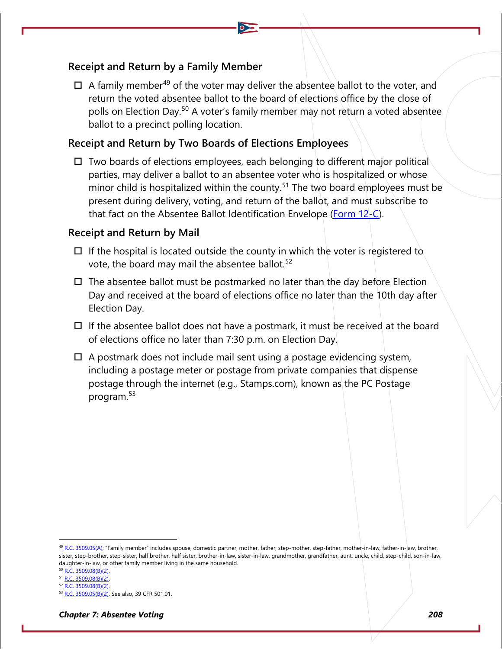#### **Receipt and Return by a Family Member**

 $\Box$  A family member<sup>[49](#page-16-0)</sup> of the voter may deliver the absentee ballot to the voter, and return the voted absentee ballot to the board of elections office by the close of polls on Election Day.<sup>[50](#page-16-1)</sup> A voter's family member may not return a voted absentee ballot to a precinct polling location.

#### **Receipt and Return by Two Boards of Elections Employees**

 $\Box$  Two boards of elections employees, each belonging to different major political parties, may deliver a ballot to an absentee voter who is hospitalized or whose minor child is hospitalized within the county.<sup>[51](#page-16-2)</sup> The two board employees must be present during delivery, voting, and return of the ballot, and must subscribe to that fact on the Absentee Ballot Identification Envelope [\(Form 12-C\)](https://www.ohiosos.gov/globalassets/elections/forms/12-c.pdf).

#### **Receipt and Return by Mail**

- $\Box$  If the hospital is located outside the county in which the voter is registered to vote, the board may mail the absentee ballot.<sup>[52](#page-16-3)</sup>
- $\Box$  The absentee ballot must be postmarked no later than the day before Election Day and received at the board of elections office no later than the 10th day after Election Day.
- $\Box$  If the absentee ballot does not have a postmark, it must be received at the board of elections office no later than 7:30 p.m. on Election Day.
- $\Box$  A postmark does not include mail sent using a postage evidencing system, including a postage meter or postage from private companies that dispense postage through the internet (e.g., Stamps.com), known as the PC Postage program.[53](#page-16-4)

<span id="page-16-0"></span><sup>49</sup> [R.C. 3509.05\(A\);](http://codes.ohio.gov/orc/3509.05) "Family member" includes spouse, domestic partner, mother, father, step-mother, step-father, mother-in-law, father-in-law, brother, sister, step-brother, step-sister, half brother, half sister, brother-in-law, sister-in-law, grandmother, grandfather, aunt, uncle, child, step-child, son-in-law, daughter-in-law, or other family member living in the same household.

<span id="page-16-1"></span><sup>50</sup> [R.C. 3509.08\(B\)\(2\).](http://codes.ohio.gov/orc/3509.08)

<span id="page-16-2"></span><sup>51</sup> [R.C. 3509.08\(B\)\(2\).](http://codes.ohio.gov/orc/3509.08)

<span id="page-16-3"></span><sup>52</sup> [R.C. 3509.08\(B\)\(2\).](http://codes.ohio.gov/orc/3509.08)

<span id="page-16-4"></span><sup>53</sup> [R.C. 3509.05\(B\)\(2\).](http://codes.ohio.gov/orc/3509.05) See also, 39 CFR 501.01.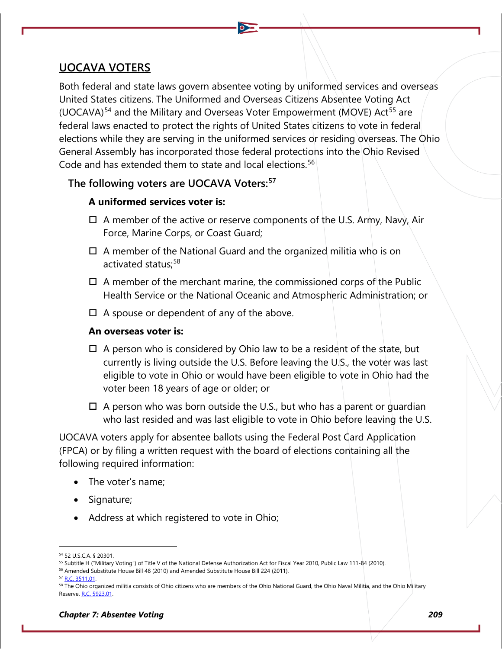### **UOCAVA VOTERS**

Both federal and state laws govern absentee voting by uniformed services and overseas United States citizens. The Uniformed and Overseas Citizens Absentee Voting Act (UOCAVA)<sup>[54](#page-17-0)</sup> and the Military and Overseas Voter Empowerment (MOVE) Act<sup>[55](#page-17-1)</sup> are federal laws enacted to protect the rights of United States citizens to vote in federal elections while they are serving in the uniformed services or residing overseas. The Ohio General Assembly has incorporated those federal protections into the Ohio Revised Code and has extended them to state and local elections.<sup>[56](#page-17-2)</sup>

#### **The following voters are UOCAVA Voters:[57](#page-17-3)**

#### **A uniformed services voter is:**

- $\Box$  A member of the active or reserve components of the U.S. Army, Navy, Air Force, Marine Corps, or Coast Guard;
- $\Box$  A member of the National Guard and the organized militia who is on activated status:<sup>[58](#page-17-4)</sup>
- $\Box$  A member of the merchant marine, the commissioned corps of the Public Health Service or the National Oceanic and Atmospheric Administration; or
- $\Box$  A spouse or dependent of any of the above.

#### **An overseas voter is:**

- $\Box$  A person who is considered by Ohio law to be a resident of the state, but currently is living outside the U.S. Before leaving the U.S., the voter was last eligible to vote in Ohio or would have been eligible to vote in Ohio had the voter been 18 years of age or older; or
- $\Box$  A person who was born outside the U.S., but who has a parent or quardian who last resided and was last eligible to vote in Ohio before leaving the U.S.

UOCAVA voters apply for absentee ballots using the Federal Post Card Application (FPCA) or by filing a written request with the board of elections containing all the following required information:

- The voter's name;
- Signature;
- Address at which registered to vote in Ohio;

<span id="page-17-0"></span><sup>54</sup> 52 U.S.C.A. § 20301.

<span id="page-17-1"></span><sup>55</sup> Subtitle H ("Military Voting") of Title V of the National Defense Authorization Act for Fiscal Year 2010, Public Law 111-84 (2010).

<span id="page-17-2"></span><sup>56</sup> Amended Substitute House Bill 48 (2010) and Amended Substitute House Bill 224 (2011).

<sup>57</sup> [R.C. 3511.01.](http://codes.ohio.gov/orc/3511.01)

<span id="page-17-4"></span><span id="page-17-3"></span><sup>58</sup> The Ohio organized militia consists of Ohio citizens who are members of the Ohio National Guard, the Ohio Naval Militia, and the Ohio Military Reserve[. R.C. 5923.01.](http://codes.ohio.gov/orc/5923.01)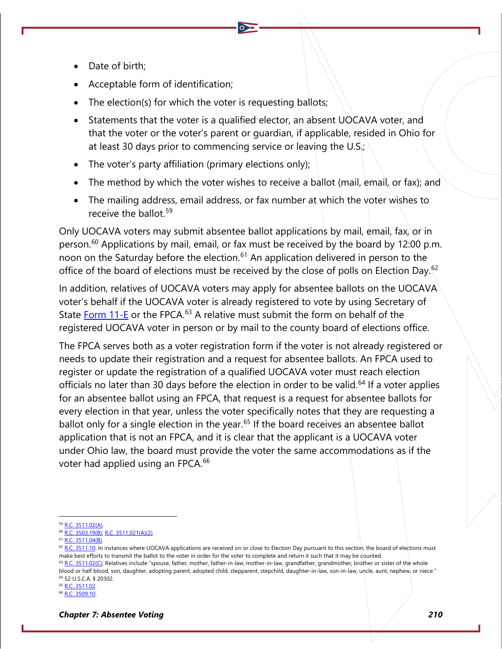- Date of birth;
- Acceptable form of identification;
- The election(s) for which the voter is requesting ballots;
- Statements that the voter is a qualified elector, an absent UOCAVA voter, and that the voter or the voter's parent or guardian, if applicable, resided in Ohio for at least 30 days prior to commencing service or leaving the U.S.;
- The voter's party affiliation (primary elections only);
- The method by which the voter wishes to receive a ballot (mail, email, or fax); and
- The mailing address, email address, or fax number at which the voter wishes to receive the ballot.<sup>[59](#page-18-0)</sup>

Only UOCAVA voters may submit absentee ballot applications by mail, email, fax, or in person.<sup>[60](#page-18-1)</sup> Applications by mail, email, or fax must be received by the board by 12:00 p.m. noon on the Saturday before the election. $61$  An application delivered in person to the office of the board of elections must be received by the close of polls on Election Day.<sup>[62](#page-18-3)</sup>

In addition, relatives of UOCAVA voters may apply for absentee ballots on the UOCAVA voter's behalf if the UOCAVA voter is already registered to vote by using Secretary of State [Form 11-E](https://www.ohiosos.gov/globalassets/elections/forms/11-e.pdf) or the FPCA.<sup>[63](#page-18-4)</sup> A relative must submit the form on behalf of the registered UOCAVA voter in person or by mail to the county board of elections office.

The FPCA serves both as a voter registration form if the voter is not already registered or needs to update their registration and a request for absentee ballots. An FPCA used to register or update the registration of a qualified UOCAVA voter must reach election officials no later than 30 days before the election in order to be valid.<sup>[64](#page-18-5)</sup> If a voter applies for an absentee ballot using an FPCA, that request is a request for absentee ballots for every election in that year, unless the voter specifically notes that they are requesting a ballot only for a single election in the year.<sup>[65](#page-18-6)</sup> If the board receives an absentee ballot application that is not an FPCA, and it is clear that the applicant is a UOCAVA voter under Ohio law, the board must provide the voter the same accommodations as if the voter had applied using an FPCA.<sup>[66](#page-18-7)</sup>

<sup>61</sup> [R.C. 3511.04\(B\).](http://codes.ohio.gov/orc/3511.04)

<span id="page-18-0"></span><sup>59</sup> [R.C. 3511.02\(A\).](http://codes.ohio.gov/orc/3511.02)

<span id="page-18-1"></span><sup>60</sup> [R.C. 3503.19\(B\);](http://codes.ohio.gov/orc/3503.19) [R.C. 3511.021\(A\)\(2\).](http://codes.ohio.gov/orc/3511.021)

<span id="page-18-3"></span><span id="page-18-2"></span> $62$  [R.C. 3511.10.](http://codes.ohio.gov/orc/3511.10) In instances where UOCAVA applications are received on or close to Election Day pursuant to this section, the board of elections must make best efforts to transmit the ballot to the voter in order for the voter to complete and return it such that it may be counted. 63 [R.C. 3511.02\(C\);](http://codes.ohio.gov/orc/3511.02) Relatives include "spouse, father, mother, father-in-law, mother-in-law, grandfather, grandmother, brother or sister of the whole

<span id="page-18-5"></span><span id="page-18-4"></span>blood or half blood, son, daughter, adopting parent, adopted child, stepparent, stepchild, daughter-in-law, son-in-law, uncle, aunt, nephew, or niece." <sup>64</sup> 52 U.S.C.A. § 20302.

<span id="page-18-6"></span><sup>65</sup> [R.C. 3511.02.](http://codes.ohio.gov/orc/3511.02)

<span id="page-18-7"></span><sup>66</sup> [R.C. 3509.10.](http://codes.ohio.gov/orc/3509.10)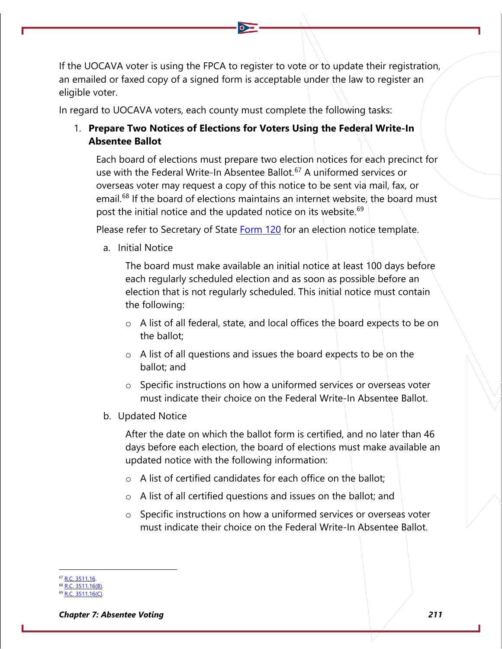If the UOCAVA voter is using the FPCA to register to vote or to update their registration, an emailed or faxed copy of a signed form is acceptable under the law to register an eligible voter.

In regard to UOCAVA voters, each county must complete the following tasks:

1. **Prepare Two Notices of Elections for Voters Using the Federal Write-In Absentee Ballot**

Each board of elections must prepare two election notices for each precinct for use with the Federal Write-In Absentee Ballot.<sup>[67](#page-19-0)</sup> A uniformed services or overseas voter may request a copy of this notice to be sent via mail, fax, or email.<sup>[68](#page-19-1)</sup> If the board of elections maintains an internet website, the board must post the initial notice and the updated notice on its website.<sup>[69](#page-19-2)</sup>

Please refer to Secretary of State [Form 120](https://www.ohiosos.gov/globalassets/elections/forms/120.docx) for an election notice template.

a. Initial Notice

The board must make available an initial notice at least 100 days before each regularly scheduled election and as soon as possible before an election that is not regularly scheduled. This initial notice must contain the following:

- o A list of all federal, state, and local offices the board expects to be on the ballot;
- $\circ$  A list of all questions and issues the board expects to be on the ballot; and
- o Specific instructions on how a uniformed services or overseas voter must indicate their choice on the Federal Write-In Absentee Ballot.
- b. Updated Notice

After the date on which the ballot form is certified, and no later than 46 days before each election, the board of elections must make available an updated notice with the following information:

- o A list of certified candidates for each office on the ballot;
- o A list of all certified questions and issues on the ballot; and
- o Specific instructions on how a uniformed services or overseas voter must indicate their choice on the Federal Write-In Absentee Ballot.

<span id="page-19-0"></span> $R \cap 3511.16$ 

<span id="page-19-2"></span><span id="page-19-1"></span> $R.C. 3511.16(B).$ [R.C. 3511.16\(C\).](http://codes.ohio.gov/orc/3511.16)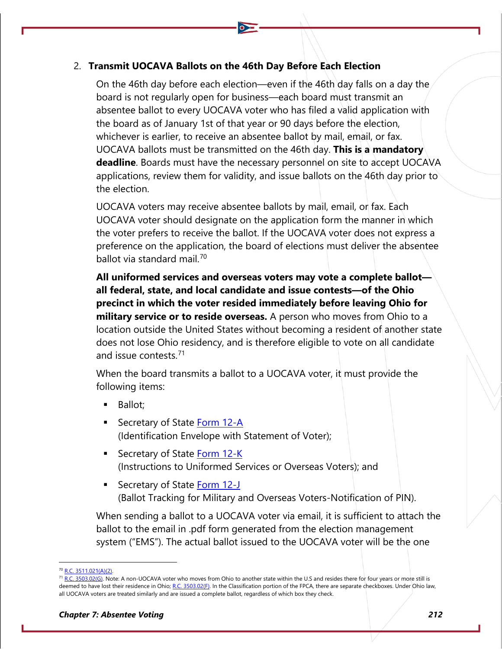#### 2. **Transmit UOCAVA Ballots on the 46th Day Before Each Election**

On the 46th day before each election—even if the 46th day falls on a day the board is not regularly open for business—each board must transmit an absentee ballot to every UOCAVA voter who has filed a valid application with the board as of January 1st of that year or 90 days before the election, whichever is earlier, to receive an absentee ballot by mail, email, or fax. UOCAVA ballots must be transmitted on the 46th day. **This is a mandatory deadline**. Boards must have the necessary personnel on site to accept UOCAVA applications, review them for validity, and issue ballots on the 46th day prior to the election.

UOCAVA voters may receive absentee ballots by mail, email, or fax. Each UOCAVA voter should designate on the application form the manner in which the voter prefers to receive the ballot. If the UOCAVA voter does not express a preference on the application, the board of elections must deliver the absentee ballot via standard mail.[70](#page-20-0)

**All uniformed services and overseas voters may vote a complete ballot all federal, state, and local candidate and issue contests—of the Ohio precinct in which the voter resided immediately before leaving Ohio for military service or to reside overseas.** A person who moves from Ohio to a location outside the United States without becoming a resident of another state does not lose Ohio residency, and is therefore eligible to vote on all candidate and issue contests.<sup>[71](#page-20-1)</sup>

When the board transmits a ballot to a UOCAVA voter, it must provide the following items:

- Ballot;
- Secretary of State [Form 12-A](https://www.sos.state.oh.us/globalassets/elections/forms/12-A.pdf) (Identification Envelope with Statement of Voter);
- Secretary of State [Form 12-K](https://www.sos.state.oh.us/globalassets/elections/forms/12-K.pdf) (Instructions to Uniformed Services or Overseas Voters); and
- Secretary of State [Form 12-J](https://www.sos.state.oh.us/globalassets/elections/forms/12-J.pdf) (Ballot Tracking for Military and Overseas Voters-Notification of PIN).

When sending a ballot to a UOCAVA voter via email, it is sufficient to attach the ballot to the email in .pdf form generated from the election management system ("EMS"). The actual ballot issued to the UOCAVA voter will be the one

<span id="page-20-0"></span><sup>&</sup>lt;sup>0</sup> [R.C. 3511.021\(A\)\(2\).](http://codes.ohio.gov/orc/3511.021)

<span id="page-20-1"></span><sup>&</sup>lt;sup>71</sup> [R.C. 3503.02\(G\).](http://codes.ohio.gov/orc/3503.02) Note: A non-UOCAVA voter who moves from Ohio to another state within the U.S and resides there for four years or more still is deemed to have lost their residence in Ohio[; R.C. 3503.02\(F\).](http://codes.ohio.gov/orc/3503.02) In the Classification portion of the FPCA, there are separate checkboxes. Under Ohio law, all UOCAVA voters are treated similarly and are issued a complete ballot, regardless of which box they check.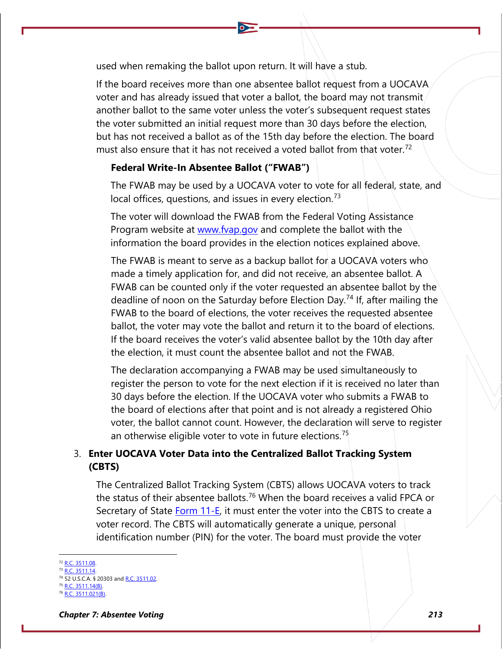used when remaking the ballot upon return. It will have a stub.

If the board receives more than one absentee ballot request from a UOCAVA voter and has already issued that voter a ballot, the board may not transmit another ballot to the same voter unless the voter's subsequent request states the voter submitted an initial request more than 30 days before the election, but has not received a ballot as of the 15th day before the election. The board must also ensure that it has not received a voted ballot from that voter.<sup>[72](#page-21-0)</sup>

#### **Federal Write-In Absentee Ballot ("FWAB")**

The FWAB may be used by a UOCAVA voter to vote for all federal, state, and local offices, questions, and issues in every election.<sup>[73](#page-21-1)</sup>

The voter will download the FWAB from the Federal Voting Assistance Program website at [www.fvap.gov](http://www.fvap.gov/) and complete the ballot with the information the board provides in the election notices explained above.

The FWAB is meant to serve as a backup ballot for a UOCAVA voters who made a timely application for, and did not receive, an absentee ballot. A FWAB can be counted only if the voter requested an absentee ballot by the deadline of noon on the Saturday before Election Day.[74](#page-21-2) If, after mailing the FWAB to the board of elections, the voter receives the requested absentee ballot, the voter may vote the ballot and return it to the board of elections. If the board receives the voter's valid absentee ballot by the 10th day after the election, it must count the absentee ballot and not the FWAB.

The declaration accompanying a FWAB may be used simultaneously to register the person to vote for the next election if it is received no later than 30 days before the election. If the UOCAVA voter who submits a FWAB to the board of elections after that point and is not already a registered Ohio voter, the ballot cannot count. However, the declaration will serve to register an otherwise eligible voter to vote in future elections.<sup>[75](#page-21-3)</sup>

#### 3. **Enter UOCAVA Voter Data into the Centralized Ballot Tracking System (CBTS)**

The Centralized Ballot Tracking System (CBTS) allows UOCAVA voters to track the status of their absentee ballots.<sup>[76](#page-21-4)</sup> When the board receives a valid FPCA or Secretary of State [Form 11-E,](https://www.ohiosos.gov/globalassets/elections/forms/11-e.pdf) it must enter the voter into the CBTS to create a voter record. The CBTS will automatically generate a unique, personal identification number (PIN) for the voter. The board must provide the voter

<span id="page-21-0"></span><sup>&</sup>lt;sup>2</sup> [R.C. 3511.08.](http://codes.ohio.gov/orc/3511.08)

<span id="page-21-2"></span><span id="page-21-1"></span><sup>73</sup> [R.C. 3511.14.](http://codes.ohio.gov/orc/3511.14) 52 U.S.C.A. § 20303 an[d R.C. 3511.02.](https://codes.ohio.gov/ohio-revised-code/section-3511.02)

 $R.C. 3511.14(B).$ 

<span id="page-21-4"></span><span id="page-21-3"></span>[R.C. 3511.021\(B\).](http://codes.ohio.gov/orc/3511.021)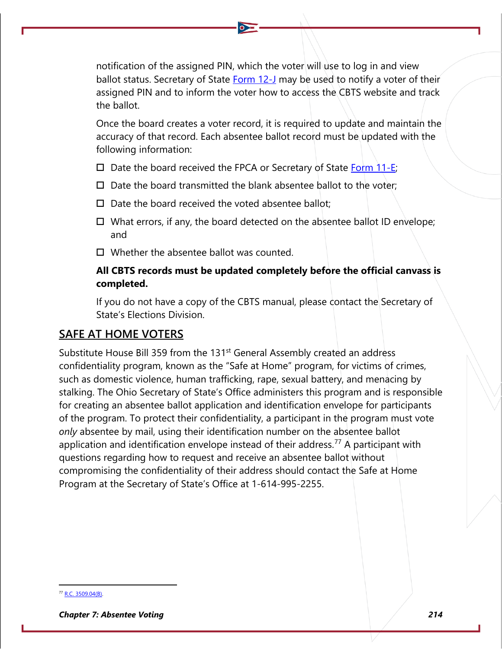notification of the assigned PIN, which the voter will use to log in and view ballot status. Secretary of State [Form 12-J](https://www.ohiosos.gov/globalassets/elections/forms/12-J.pdf) may be used to notify a voter of their assigned PIN and to inform the voter how to access the CBTS website and track the ballot.

Once the board creates a voter record, it is required to update and maintain the accuracy of that record. Each absentee ballot record must be updated with the following information:

- $\Box$  Date the board received the FPCA or Secretary of State [Form 11-E;](https://www.ohiosos.gov/globalassets/elections/forms/11-E.pdf)
- $\square$  Date the board transmitted the blank absentee ballot to the voter;
- $\square$  Date the board received the voted absentee ballot:
- $\Box$  What errors, if any, the board detected on the absentee ballot ID envelope; and
- $\Box$  Whether the absentee ballot was counted.

### **All CBTS records must be updated completely before the official canvass is completed.**

If you do not have a copy of the CBTS manual, please contact the Secretary of State's Elections Division.

### **SAFE AT HOME VOTERS**

Substitute House Bill 359 from the 131<sup>st</sup> General Assembly created an address confidentiality program, known as the "Safe at Home" program, for victims of crimes, such as domestic violence, human trafficking, rape, sexual battery, and menacing by stalking. The Ohio Secretary of State's Office administers this program and is responsible for creating an absentee ballot application and identification envelope for participants of the program. To protect their confidentiality, a participant in the program must vote *only* absentee by mail, using their identification number on the absentee ballot application and identification envelope instead of their address.<sup>[77](#page-22-0)</sup> A participant with questions regarding how to request and receive an absentee ballot without compromising the confidentiality of their address should contact the Safe at Home Program at the Secretary of State's Office at 1-614-995-2255.

<span id="page-22-0"></span><sup>77</sup> [R.C. 3509.04\(B\).](http://codes.ohio.gov/orc/3509.04)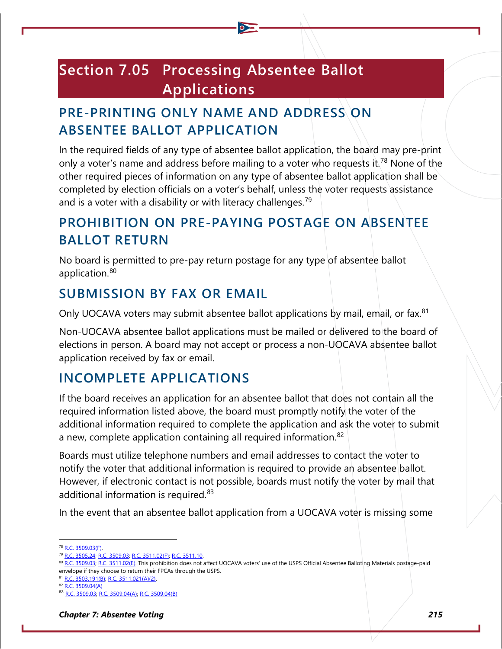# **Section 7.05 Processing Absentee Ballot Applications**

# **PRE-PRINTING ONLY NAME AND ADDRESS ON ABSENTEE BALLOT APPLICATION**

In the required fields of any type of absentee ballot application, the board may pre-print only a voter's name and address before mailing to a voter who requests it.<sup>[78](#page-23-0)</sup> None of the other required pieces of information on any type of absentee ballot application shall be completed by election officials on a voter's behalf, unless the voter requests assistance and is a voter with a disability or with literacy challenges.<sup>[79](#page-23-1)</sup>

## **PROHIBITION ON PRE-PAYING POSTAGE ON ABSENTEE BALLOT RETURN**

No board is permitted to pre-pay return postage for any type of absentee ballot application.<sup>[80](#page-23-2)</sup>

## **SUBMISSION BY FAX OR EMAIL**

Only UOCAVA voters may submit absentee ballot applications by mail, email, or fax.<sup>[81](#page-23-3)</sup>

Non-UOCAVA absentee ballot applications must be mailed or delivered to the board of elections in person. A board may not accept or process a non-UOCAVA absentee ballot application received by fax or email.

## **INCOMPLETE APPLICATIONS**

If the board receives an application for an absentee ballot that does not contain all the required information listed above, the board must promptly notify the voter of the additional information required to complete the application and ask the voter to submit a new, complete application containing all required information.<sup>[82](#page-23-4)</sup>

Boards must utilize telephone numbers and email addresses to contact the voter to notify the voter that additional information is required to provide an absentee ballot. However, if electronic contact is not possible, boards must notify the voter by mail that additional information is required.<sup>[83](#page-23-5)</sup>

In the event that an absentee ballot application from a UOCAVA voter is missing some

<sup>78</sup> [R.C. 3509.03\(F\).](http://codes.ohio.gov/orc/3509.03)

<span id="page-23-1"></span><span id="page-23-0"></span><sup>79</sup> [R.C. 3505.24;](http://codes.ohio.gov/orc/3505.24) [R.C. 3509.03;](http://codes.ohio.gov/orc/3509.03) [R.C. 3511.02\(F\);](http://codes.ohio.gov/orc/3511.02) [R.C. 3511.10.](http://codes.ohio.gov/orc/3511.10)

<span id="page-23-2"></span><sup>80</sup> [R.C. 3509.03;](http://codes.ohio.gov/orc/3509.03) [R.C. 3511.02\(E\).](http://codes.ohio.gov/orc/3511.02) This prohibition does not affect UOCAVA voters' use of the USPS Official Absentee Balloting Materials postage-paid envelope if they choose to return their FPCAs through the USPS.

<span id="page-23-3"></span><sup>81</sup> [R.C. 3503.191\(B\);](http://codes.ohio.gov/orc/3503.191) [R.C. 3511.021\(A\)\(2\).](http://codes.ohio.gov/orc/3511.021)

<span id="page-23-5"></span><span id="page-23-4"></span><sup>82</sup> R.C. [3509.04\(A\)](http://codes.ohio.gov/orc/3509.04)

<sup>83</sup> [R.C. 3509.03;](https://codes.ohio.gov/ohio-revised-code/section-3509.03) [R.C. 3509.04\(A\); R.C. 3509.04\(B\)](https://codes.ohio.gov/ohio-revised-code/section-3509.04)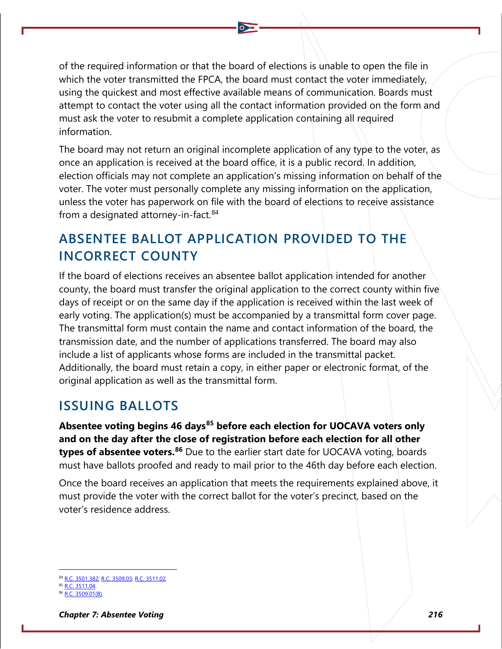of the required information or that the board of elections is unable to open the file in which the voter transmitted the FPCA, the board must contact the voter immediately, using the quickest and most effective available means of communication. Boards must attempt to contact the voter using all the contact information provided on the form and must ask the voter to resubmit a complete application containing all required information.

The board may not return an original incomplete application of any type to the voter, as once an application is received at the board office, it is a public record. In addition, election officials may not complete an application's missing information on behalf of the voter. The voter must personally complete any missing information on the application, unless the voter has paperwork on file with the board of elections to receive assistance from a designated attorney-in-fact.<sup>[84](#page-24-0)</sup>

## **ABSENTEE BALLOT APPLICATION PROVIDED TO THE INCORRECT COUNTY**

If the board of elections receives an absentee ballot application intended for another county, the board must transfer the original application to the correct county within five days of receipt or on the same day if the application is received within the last week of early voting. The application(s) must be accompanied by a transmittal form cover page. The transmittal form must contain the name and contact information of the board, the transmission date, and the number of applications transferred. The board may also include a list of applicants whose forms are included in the transmittal packet. Additionally, the board must retain a copy, in either paper or electronic format, of the original application as well as the transmittal form.

### **ISSUING BALLOTS**

**Absentee voting begins 46 days[85](#page-24-1) before each election for UOCAVA voters only and on the day after the close of registration before each election for all other types of absentee voters.[86](#page-24-2)** Due to the earlier start date for UOCAVA voting, boards must have ballots proofed and ready to mail prior to the 46th day before each election.

Once the board receives an application that meets the requirements explained above, it must provide the voter with the correct ballot for the voter's precinct, based on the voter's residence address.

<span id="page-24-0"></span><sup>&</sup>lt;sup>84</sup> [R.C. 3501.382;](http://codes.ohio.gov/orc/3501.382) [R.C. 3509.03;](http://codes.ohio.gov/orc/3509.03) [R.C. 3511.02.](http://codes.ohio.gov/orc/3511.02)<br><sup>85</sup> R.C. 3511.04.

<span id="page-24-2"></span><span id="page-24-1"></span>

 $R.C. 3509.01(B)$ .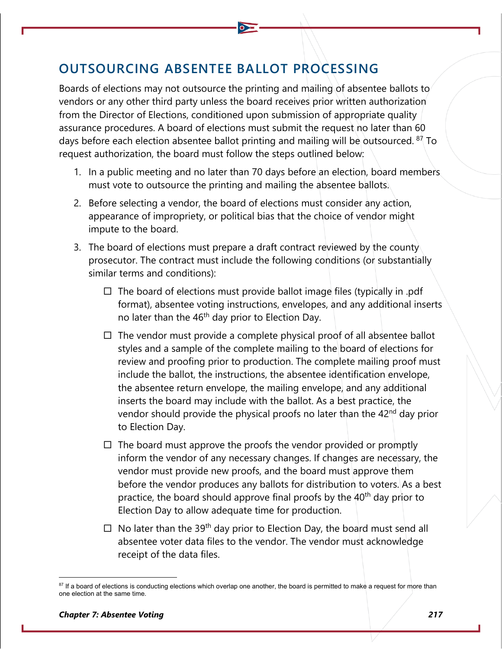## **OUTSOURCING ABSENTEE BALLOT PROCESSING**

Boards of elections may not outsource the printing and mailing of absentee ballots to vendors or any other third party unless the board receives prior written authorization from the Director of Elections, conditioned upon submission of appropriate quality assurance procedures. A board of elections must submit the request no later than 60 days before each election absentee ballot printing and mailing will be outsourced.  $87$  To request authorization, the board must follow the steps outlined below:

- 1. In a public meeting and no later than 70 days before an election, board members must vote to outsource the printing and mailing the absentee ballots.
- 2. Before selecting a vendor, the board of elections must consider any action, appearance of impropriety, or political bias that the choice of vendor might impute to the board.
- 3. The board of elections must prepare a draft contract reviewed by the county. prosecutor. The contract must include the following conditions (or substantially similar terms and conditions):
	- $\Box$  The board of elections must provide ballot image files (typically in .pdf format), absentee voting instructions, envelopes, and any additional inserts no later than the 46<sup>th</sup> day prior to Election Day.
	- $\Box$  The vendor must provide a complete physical proof of all absentee ballot styles and a sample of the complete mailing to the board of elections for review and proofing prior to production. The complete mailing proof must include the ballot, the instructions, the absentee identification envelope, the absentee return envelope, the mailing envelope, and any additional inserts the board may include with the ballot. As a best practice, the vendor should provide the physical proofs no later than the  $42<sup>nd</sup>$  day prior to Election Day.
	- $\Box$  The board must approve the proofs the vendor provided or promptly inform the vendor of any necessary changes. If changes are necessary, the vendor must provide new proofs, and the board must approve them before the vendor produces any ballots for distribution to voters. As a best practice, the board should approve final proofs by the 40<sup>th</sup> day prior to Election Day to allow adequate time for production.
	- $\Box$  No later than the 39<sup>th</sup> day prior to Election Day, the board must send all absentee voter data files to the vendor. The vendor must acknowledge receipt of the data files.

<span id="page-25-0"></span> $87$  If a board of elections is conducting elections which overlap one another, the board is permitted to make a request for more than one election at the same time.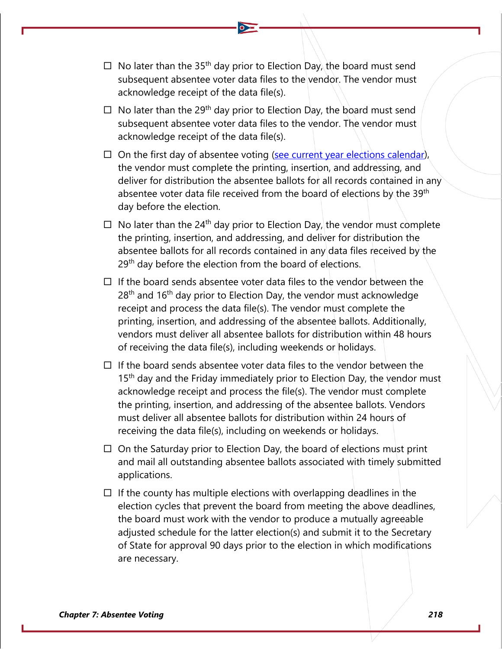- $\Box$  No later than the 35<sup>th</sup> day prior to Election Day, the board must send subsequent absentee voter data files to the vendor. The vendor must acknowledge receipt of the data file(s).
- $\Box$  No later than the 29<sup>th</sup> day prior to Election Day, the board must send subsequent absentee voter data files to the vendor. The vendor must acknowledge receipt of the data file(s).
- $\Box$  On the first day of absentee voting [\(see current year elections calendar\)](https://www.sos.state.oh.us/publications/#Elections), the vendor must complete the printing, insertion, and addressing, and deliver for distribution the absentee ballots for all records contained in any absentee voter data file received from the board of elections by the 39<sup>th</sup> day before the election.
- $\Box$  No later than the 24<sup>th</sup> day prior to Election Day, the vendor must complete the printing, insertion, and addressing, and deliver for distribution the absentee ballots for all records contained in any data files received by the 29<sup>th</sup> day before the election from the board of elections.
- $\Box$  If the board sends absentee voter data files to the vendor between the  $28<sup>th</sup>$  and 16<sup>th</sup> day prior to Election Day, the vendor must acknowledge receipt and process the data file(s). The vendor must complete the printing, insertion, and addressing of the absentee ballots. Additionally, vendors must deliver all absentee ballots for distribution within 48 hours of receiving the data file(s), including weekends or holidays.
- $\Box$  If the board sends absentee voter data files to the vendor between the 15<sup>th</sup> day and the Friday immediately prior to Election Day, the vendor must acknowledge receipt and process the file(s). The vendor must complete the printing, insertion, and addressing of the absentee ballots. Vendors must deliver all absentee ballots for distribution within 24 hours of receiving the data file(s), including on weekends or holidays.
- $\Box$  On the Saturday prior to Election Day, the board of elections must print and mail all outstanding absentee ballots associated with timely submitted applications.
- $\Box$  If the county has multiple elections with overlapping deadlines in the election cycles that prevent the board from meeting the above deadlines, the board must work with the vendor to produce a mutually agreeable adjusted schedule for the latter election(s) and submit it to the Secretary of State for approval 90 days prior to the election in which modifications are necessary.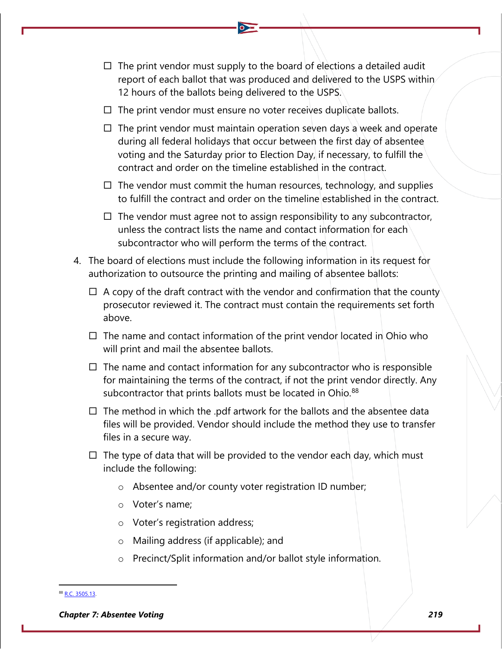- $\Box$  The print vendor must supply to the board of elections a detailed audit report of each ballot that was produced and delivered to the USPS within 12 hours of the ballots being delivered to the USPS.
- $\Box$  The print vendor must ensure no voter receives duplicate ballots.
- $\Box$  The print vendor must maintain operation seven days a week and operate during all federal holidays that occur between the first day of absentee voting and the Saturday prior to Election Day, if necessary, to fulfill the contract and order on the timeline established in the contract.
- $\Box$  The vendor must commit the human resources, technology, and supplies to fulfill the contract and order on the timeline established in the contract.
- $\Box$  The vendor must agree not to assign responsibility to any subcontractor, unless the contract lists the name and contact information for each subcontractor who will perform the terms of the contract.
- 4. The board of elections must include the following information in its request for authorization to outsource the printing and mailing of absentee ballots:
	- $\Box$  A copy of the draft contract with the vendor and confirmation that the county prosecutor reviewed it. The contract must contain the requirements set forth above.
	- $\Box$  The name and contact information of the print vendor located in Ohio who will print and mail the absentee ballots.
	- $\Box$  The name and contact information for any subcontractor who is responsible for maintaining the terms of the contract, if not the print vendor directly. Any subcontractor that prints ballots must be located in Ohio.<sup>[88](#page-27-0)</sup>
	- $\Box$  The method in which the .pdf artwork for the ballots and the absentee data files will be provided. Vendor should include the method they use to transfer files in a secure way.
	- $\Box$  The type of data that will be provided to the vendor each day, which must include the following:
		- o Absentee and/or county voter registration ID number;
		- o Voter's name;
		- o Voter's registration address;
		- o Mailing address (if applicable); and
		- o Precinct/Split information and/or ballot style information.

<span id="page-27-0"></span><sup>88</sup> [R.C. 3505.13.](http://codes.ohio.gov/orc/3505.13v1)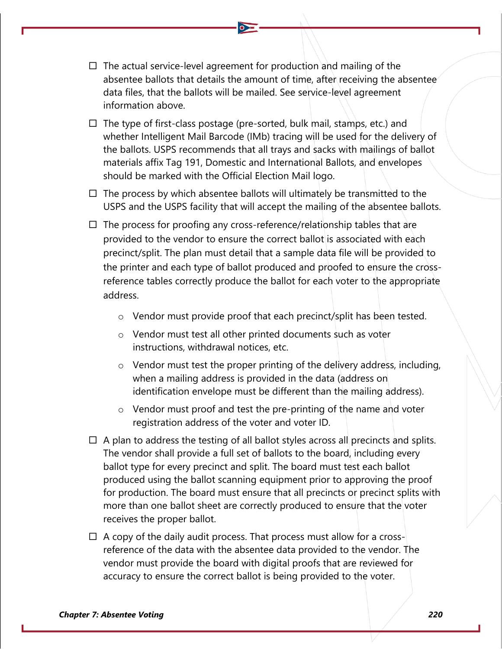- $\Box$  The actual service-level agreement for production and mailing of the absentee ballots that details the amount of time, after receiving the absentee data files, that the ballots will be mailed. See service-level agreement information above.
- $\Box$  The type of first-class postage (pre-sorted, bulk mail, stamps, etc.) and whether Intelligent Mail Barcode (IMb) tracing will be used for the delivery of the ballots. USPS recommends that all trays and sacks with mailings of ballot materials affix Tag 191, Domestic and International Ballots, and envelopes should be marked with the Official Election Mail logo.
- $\Box$  The process by which absentee ballots will ultimately be transmitted to the USPS and the USPS facility that will accept the mailing of the absentee ballots.
- $\Box$  The process for proofing any cross-reference/relationship tables that are provided to the vendor to ensure the correct ballot is associated with each precinct/split. The plan must detail that a sample data file will be provided to the printer and each type of ballot produced and proofed to ensure the crossreference tables correctly produce the ballot for each voter to the appropriate address.
	- o Vendor must provide proof that each precinct/split has been tested.
	- o Vendor must test all other printed documents such as voter instructions, withdrawal notices, etc.
	- o Vendor must test the proper printing of the delivery address, including, when a mailing address is provided in the data (address on identification envelope must be different than the mailing address).
	- o Vendor must proof and test the pre-printing of the name and voter registration address of the voter and voter ID.
- $\Box$  A plan to address the testing of all ballot styles across all precincts and splits. The vendor shall provide a full set of ballots to the board, including every ballot type for every precinct and split. The board must test each ballot produced using the ballot scanning equipment prior to approving the proof for production. The board must ensure that all precincts or precinct splits with more than one ballot sheet are correctly produced to ensure that the voter receives the proper ballot.
- $\Box$  A copy of the daily audit process. That process must allow for a crossreference of the data with the absentee data provided to the vendor. The vendor must provide the board with digital proofs that are reviewed for accuracy to ensure the correct ballot is being provided to the voter.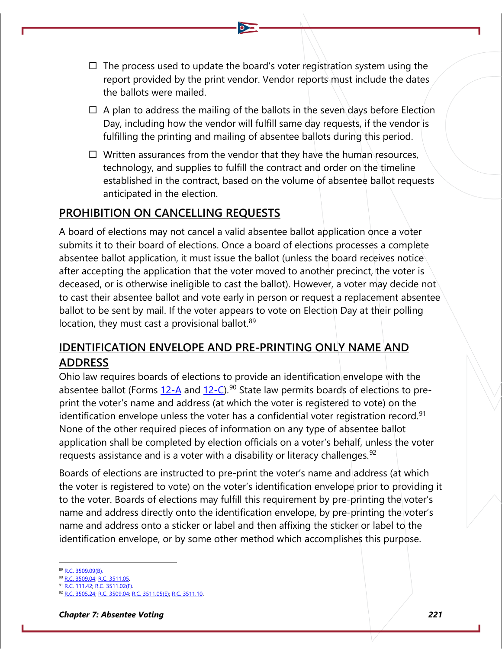- $\Box$  The process used to update the board's voter registration system using the report provided by the print vendor. Vendor reports must include the dates the ballots were mailed.
- $\Box$  A plan to address the mailing of the ballots in the seven days before Election Day, including how the vendor will fulfill same day requests, if the vendor is fulfilling the printing and mailing of absentee ballots during this period.
- $\Box$  Written assurances from the vendor that they have the human resources, technology, and supplies to fulfill the contract and order on the timeline established in the contract, based on the volume of absentee ballot requests anticipated in the election.

### **PROHIBITION ON CANCELLING REQUESTS**

A board of elections may not cancel a valid absentee ballot application once a voter submits it to their board of elections. Once a board of elections processes a complete absentee ballot application, it must issue the ballot (unless the board receives notice after accepting the application that the voter moved to another precinct, the voter is deceased, or is otherwise ineligible to cast the ballot). However, a voter may decide not to cast their absentee ballot and vote early in person or request a replacement absentee ballot to be sent by mail. If the voter appears to vote on Election Day at their polling location, they must cast a provisional ballot. $89$ 

### **IDENTIFICATION ENVELOPE AND PRE-PRINTING ONLY NAME AND ADDRESS**

Ohio law requires boards of elections to provide an identification envelope with the absentee ballot (Forms  $12-A$  and  $12-C$ ).<sup>[90](#page-29-1)</sup> State law permits boards of elections to preprint the voter's name and address (at which the voter is registered to vote) on the identification envelope unless the voter has a confidential voter registration record.<sup>[91](#page-29-2)</sup> None of the other required pieces of information on any type of absentee ballot application shall be completed by election officials on a voter's behalf, unless the voter requests assistance and is a voter with a disability or literacy challenges.  $92$ 

Boards of elections are instructed to pre-print the voter's name and address (at which the voter is registered to vote) on the voter's identification envelope prior to providing it to the voter. Boards of elections may fulfill this requirement by pre-printing the voter's name and address directly onto the identification envelope, by pre-printing the voter's name and address onto a sticker or label and then affixing the sticker or label to the identification envelope, or by some other method which accomplishes this purpose.

- <span id="page-29-1"></span>[R.C. 3509.04;](http://codes.ohio.gov/orc/3509.04) [R.C. 3511.05.](http://codes.ohio.gov/orc/3511.05)
- <span id="page-29-2"></span>C. 111.42; [R.C. 3511.02\(F\).](http://codes.ohio.gov/orc/3511.02)

<span id="page-29-0"></span>[R.C. 3509.09\(B\).](http://codes.ohio.gov/orc/3509.09)

<span id="page-29-3"></span>[R.C. 3505.24;](http://codes.ohio.gov/orc/3505.24) [R.C. 3509.04;](http://codes.ohio.gov/orc/3509.04) [R.C. 3511.05\(E\);](http://codes.ohio.gov/orc/3511.05) [R.C. 3511.10.](http://codes.ohio.gov/orc/3511.10)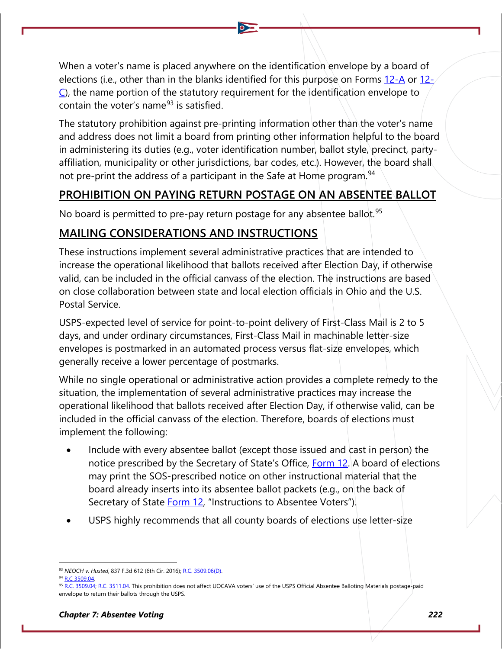When a voter's name is placed anywhere on the identification envelope by a board of elections (i.e., other than in the blanks identified for this purpose on Forms [12-A](https://www.ohiosos.gov/globalassets/elections/forms/12-A.pdf) or [12-](https://www.ohiosos.gov/globalassets/elections/forms/12-C.pdf) [C\)](https://www.ohiosos.gov/globalassets/elections/forms/12-C.pdf), the name portion of the statutory requirement for the identification envelope to contain the voter's name  $93$  is satisfied.

The statutory prohibition against pre-printing information other than the voter's name and address does not limit a board from printing other information helpful to the board in administering its duties (e.g., voter identification number, ballot style, precinct, partyaffiliation, municipality or other jurisdictions, bar codes, etc.). However, the board shall not pre-print the address of a participant in the Safe at Home program.<sup>[94](#page-30-1)</sup>

### **PROHIBITION ON PAYING RETURN POSTAGE ON AN ABSENTEE BALLOT**

No board is permitted to pre-pay return postage for any absentee ballot.<sup>[95](#page-30-2)</sup>

### **MAILING CONSIDERATIONS AND INSTRUCTIONS**

These instructions implement several administrative practices that are intended to increase the operational likelihood that ballots received after Election Day, if otherwise valid, can be included in the official canvass of the election. The instructions are based on close collaboration between state and local election officials in Ohio and the U.S. Postal Service.

USPS-expected level of service for point-to-point delivery of First-Class Mail is 2 to 5 days, and under ordinary circumstances, First-Class Mail in machinable letter-size envelopes is postmarked in an automated process versus flat-size envelopes, which generally receive a lower percentage of postmarks.

While no single operational or administrative action provides a complete remedy to the situation, the implementation of several administrative practices may increase the operational likelihood that ballots received after Election Day, if otherwise valid, can be included in the official canvass of the election. Therefore, boards of elections must implement the following:

- Include with every absentee ballot (except those issued and cast in person) the notice prescribed by the Secretary of State's Office, **Form 12.** A board of elections may print the SOS-prescribed notice on other instructional material that the board already inserts into its absentee ballot packets (e.g., on the back of Secretary of State [Form 12,](https://www.ohiosos.gov/globalassets/elections/forms/12.pdf) "Instructions to Absentee Voters").
- USPS highly recommends that all county boards of elections use letter-size

<span id="page-30-0"></span><sup>93</sup> *NEOCH v. Husted*, 837 F.3d 612 (6th Cir. 2016)[; R.C. 3509.06\(D\).](http://codes.ohio.gov/orc/3509.06)

<span id="page-30-1"></span><sup>94</sup> R.C. 3509.04

<span id="page-30-2"></span><sup>95</sup> [R.C. 3509.04;](http://codes.ohio.gov/orc/3509.04) [R.C. 3511.04.](http://codes.ohio.gov/orc/3511.04) This prohibition does not affect UOCAVA voters' use of the USPS Official Absentee Balloting Materials postage-paid envelope to return their ballots through the USPS.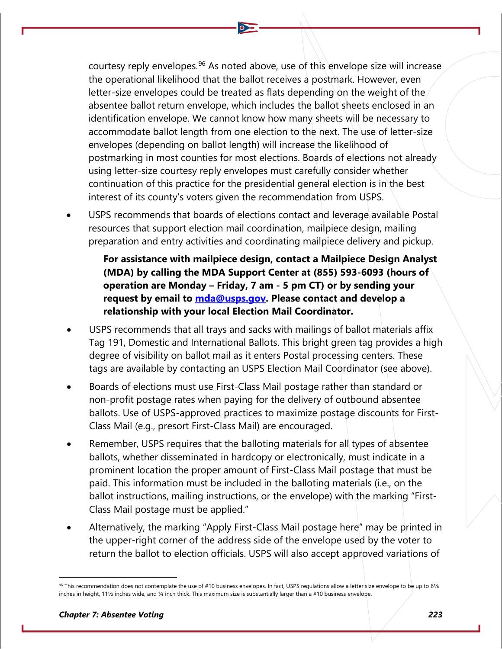courtesy reply envelopes.<sup>[96](#page-31-0)</sup> As noted above, use of this envelope size will increase the operational likelihood that the ballot receives a postmark. However, even letter-size envelopes could be treated as flats depending on the weight of the absentee ballot return envelope, which includes the ballot sheets enclosed in an identification envelope. We cannot know how many sheets will be necessary to accommodate ballot length from one election to the next. The use of letter-size envelopes (depending on ballot length) will increase the likelihood of postmarking in most counties for most elections. Boards of elections not already using letter-size courtesy reply envelopes must carefully consider whether continuation of this practice for the presidential general election is in the best interest of its county's voters given the recommendation from USPS.

• USPS recommends that boards of elections contact and leverage available Postal resources that support election mail coordination, mailpiece design, mailing preparation and entry activities and coordinating mailpiece delivery and pickup.

**For assistance with mailpiece design, contact a Mailpiece Design Analyst (MDA) by calling the MDA Support Center at (855) 593-6093 (hours of operation are Monday – Friday, 7 am - 5 pm CT) or by sending your request by email to [mda@usps.gov.](mailto:mda@usps.gov) Please contact and develop a relationship with your local Election Mail Coordinator.** 

- USPS recommends that all trays and sacks with mailings of ballot materials affix Tag 191, Domestic and International Ballots. This bright green tag provides a high degree of visibility on ballot mail as it enters Postal processing centers. These tags are available by contacting an USPS Election Mail Coordinator (see above).
- Boards of elections must use First-Class Mail postage rather than standard or non-profit postage rates when paying for the delivery of outbound absentee ballots. Use of USPS-approved practices to maximize postage discounts for First-Class Mail (e.g., presort First-Class Mail) are encouraged.
- Remember, USPS requires that the balloting materials for all types of absentee ballots, whether disseminated in hardcopy or electronically, must indicate in a prominent location the proper amount of First-Class Mail postage that must be paid. This information must be included in the balloting materials (i.e., on the ballot instructions, mailing instructions, or the envelope) with the marking "First-Class Mail postage must be applied."
- Alternatively, the marking "Apply First-Class Mail postage here" may be printed in the upper-right corner of the address side of the envelope used by the voter to return the ballot to election officials. USPS will also accept approved variations of

<span id="page-31-0"></span><sup>96</sup> This recommendation does not contemplate the use of #10 business envelopes. In fact, USPS regulations allow a letter size envelope to be up to 61/8 inches in height, 11½ inches wide, and ¼ inch thick. This maximum size is substantially larger than a #10 business envelope.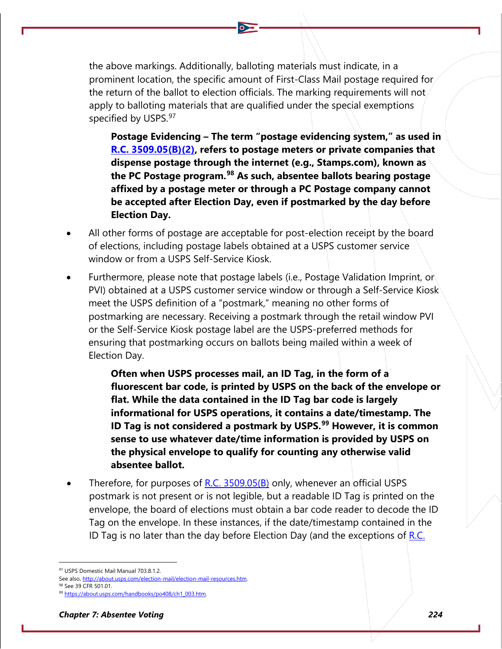the above markings. Additionally, balloting materials must indicate, in a prominent location, the specific amount of First-Class Mail postage required for the return of the ballot to election officials. The marking requirements will not apply to balloting materials that are qualified under the special exemptions specified by USPS.<sup>[97](#page-32-0)</sup>

**Postage Evidencing – The term "postage evidencing system," as used in [R.C. 3509.05\(B\)\(2\),](http://codes.ohio.gov/orc/3509.05) refers to postage meters or private companies that dispense postage through the internet (e.g., Stamps.com), known as the PC Postage program.[98](#page-32-1) As such, absentee ballots bearing postage affixed by a postage meter or through a PC Postage company cannot be accepted after Election Day, even if postmarked by the day before Election Day.** 

- All other forms of postage are acceptable for post-election receipt by the board of elections, including postage labels obtained at a USPS customer service window or from a USPS Self-Service Kiosk.
- Furthermore, please note that postage labels (i.e., Postage Validation Imprint, or PVI) obtained at a USPS customer service window or through a Self-Service Kiosk meet the USPS definition of a "postmark," meaning no other forms of postmarking are necessary. Receiving a postmark through the retail window PVI or the Self-Service Kiosk postage label are the USPS-preferred methods for ensuring that postmarking occurs on ballots being mailed within a week of Election Day.

**Often when USPS processes mail, an ID Tag, in the form of a fluorescent bar code, is printed by USPS on the back of the envelope or flat. While the data contained in the ID Tag bar code is largely informational for USPS operations, it contains a date/timestamp. The ID Tag is not considered a postmark by USPS.[99](#page-32-2) However, it is common sense to use whatever date/time information is provided by USPS on the physical envelope to qualify for counting any otherwise valid absentee ballot.** 

Therefore, for purposes of R.C. 3509.05 $(B)$  only, whenever an official USPS postmark is not present or is not legible, but a readable ID Tag is printed on the envelope, the board of elections must obtain a bar code reader to decode the ID Tag on the envelope. In these instances, if the date/timestamp contained in the ID Tag is no later than the day before Election Day (and the exceptions of  $R.C.$ 

<sup>97</sup> USPS Domestic Mail Manual 703.8.1.2.

<span id="page-32-0"></span>See also[, http://about.usps.com/election-mail/election-mail-resources.htm.](http://about.usps.com/election-mail/election-mail-resources.htm)

<span id="page-32-2"></span><span id="page-32-1"></span><sup>&</sup>lt;sup>98</sup> See 39 CFR 501.01.

<sup>99</sup> [https://about.usps.com/handbooks/po408/ch1\\_003.htm.](https://about.usps.com/handbooks/po408/ch1_003.htm)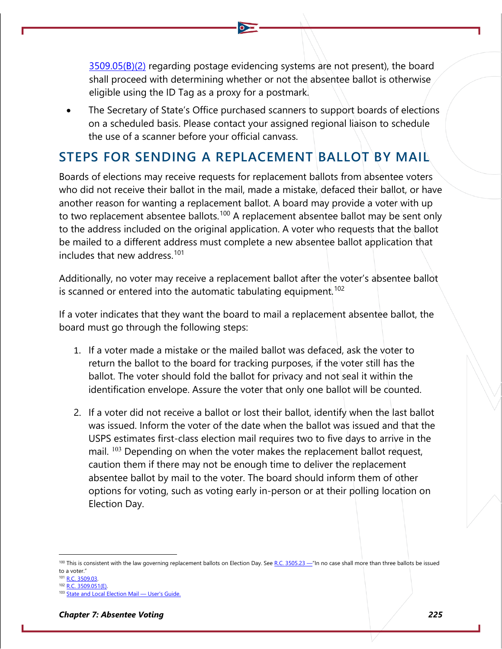[3509.05\(B\)\(2\)](http://codes.ohio.gov/orc/3509.05) regarding postage evidencing systems are not present), the board shall proceed with determining whether or not the absentee ballot is otherwise eligible using the ID Tag as a proxy for a postmark.

The Secretary of State's Office purchased scanners to support boards of elections on a scheduled basis. Please contact your assigned regional liaison to schedule the use of a scanner before your official canvass.

### **STEPS FOR SENDING A REPLACEMENT BALLOT BY MAIL**

Boards of elections may receive requests for replacement ballots from absentee voters who did not receive their ballot in the mail, made a mistake, defaced their ballot, or have another reason for wanting a replacement ballot. A board may provide a voter with up to two replacement absentee ballots.<sup>[100](#page-33-0)</sup> A replacement absentee ballot may be sent only to the address included on the original application. A voter who requests that the ballot be mailed to a different address must complete a new absentee ballot application that includes that new address.[101](#page-33-1)

Additionally, no voter may receive a replacement ballot after the voter's absentee ballot is scanned or entered into the automatic tabulating equipment.<sup>[102](#page-33-2)</sup>

If a voter indicates that they want the board to mail a replacement absentee ballot, the board must go through the following steps:

- 1. If a voter made a mistake or the mailed ballot was defaced, ask the voter to return the ballot to the board for tracking purposes, if the voter still has the ballot. The voter should fold the ballot for privacy and not seal it within the identification envelope. Assure the voter that only one ballot will be counted.
- 2. If a voter did not receive a ballot or lost their ballot, identify when the last ballot was issued. Inform the voter of the date when the ballot was issued and that the USPS estimates first-class election mail requires two to five days to arrive in the mail. <sup>[103](#page-33-3)</sup> Depending on when the voter makes the replacement ballot request, caution them if there may not be enough time to deliver the replacement absentee ballot by mail to the voter. The board should inform them of other options for voting, such as voting early in-person or at their polling location on Election Day.

<span id="page-33-1"></span><sup>101</sup> [R.C. 3509.03.](http://codes.ohio.gov/orc/3509.03v1)

<span id="page-33-0"></span><sup>&</sup>lt;sup>100</sup> This is consistent with the law governing replacement ballots on Election Day. See [R.C. 3505.23](http://codes.ohio.gov/orc/3505.23v1) — "In no case shall more than three ballots be issued to a voter."

<span id="page-33-2"></span><sup>&</sup>lt;sup>102</sup> [R.C. 3509.051\(E\).](http://codes.ohio.gov/orc/3509.051)

<span id="page-33-3"></span><sup>03</sup> State and Local Election Mail - User's Guide.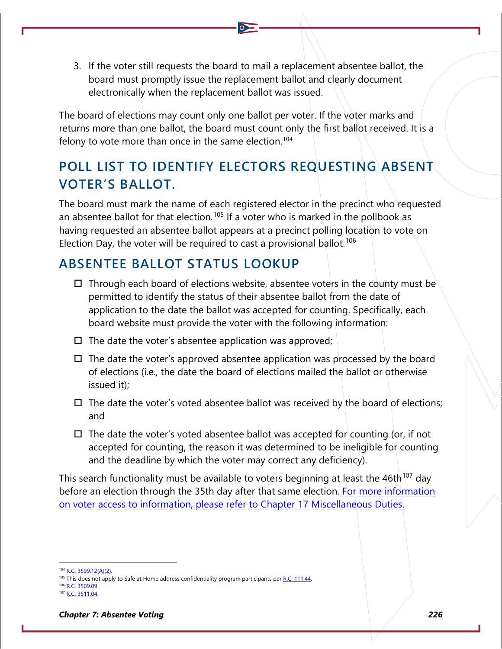3. If the voter still requests the board to mail a replacement absentee ballot, the board must promptly issue the replacement ballot and clearly document electronically when the replacement ballot was issued.

The board of elections may count only one ballot per voter. If the voter marks and returns more than one ballot, the board must count only the first ballot received. It is a felony to vote more than once in the same election.<sup>[104](#page-34-0)</sup>

## **POLL LIST TO IDENTIFY ELECTORS REQUESTING ABSENT VOTER'S BALLOT.**

The board must mark the name of each registered elector in the precinct who requested an absentee ballot for that election.<sup>[105](#page-34-1)</sup> If a voter who is marked in the pollbook as having requested an absentee ballot appears at a precinct polling location to vote on Election Day, the voter will be required to cast a provisional ballot.<sup>[106](#page-34-2)</sup>

### **ABSENTEE BALLOT STATUS LOOKUP**

- $\Box$  Through each board of elections website, absentee voters in the county must be permitted to identify the status of their absentee ballot from the date of application to the date the ballot was accepted for counting. Specifically, each board website must provide the voter with the following information:
- $\Box$  The date the voter's absentee application was approved;
- $\Box$  The date the voter's approved absentee application was processed by the board of elections (i.e., the date the board of elections mailed the ballot or otherwise issued it);
- $\Box$  The date the voter's voted absentee ballot was received by the board of elections; and
- $\Box$  The date the voter's voted absentee ballot was accepted for counting (or, if not accepted for counting, the reason it was determined to be ineligible for counting and the deadline by which the voter may correct any deficiency).

This search functionality must be available to voters beginning at least the 46th<sup>[107](#page-34-3)</sup> day before an election through the 35th day after that same election. For more information on voter access to information, please refer to Chapter 17 Miscellaneous Duties.

<span id="page-34-1"></span><span id="page-34-0"></span><sup>&</sup>lt;sup>104</sup> [R.C. 3599.12\(A\)\(2\).](http://codes.ohio.gov/orc/3599.12v1)

<sup>&</sup>lt;sup>105</sup> This does not apply to Safe at Home address confidentiality program participants per <u>R.C. 111.44</u>.

<span id="page-34-2"></span><sup>&</sup>lt;sup>6</sup> R.C. 3509.09

<span id="page-34-3"></span> $R \cap 3511.04$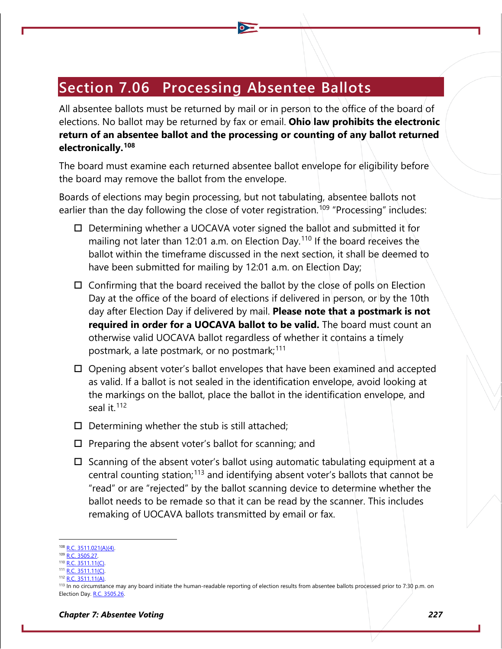# **Section 7.06 Processing Absentee Ballots**

All absentee ballots must be returned by mail or in person to the office of the board of elections. No ballot may be returned by fax or email. **Ohio law prohibits the electronic return of an absentee ballot and the processing or counting of any ballot returned electronically.[108](#page-35-0)**

The board must examine each returned absentee ballot envelope for eligibility before the board may remove the ballot from the envelope.

Boards of elections may begin processing, but not tabulating, absentee ballots not earlier than the day following the close of voter registration.<sup>[109](#page-35-1)</sup> "Processing" includes:

- $\square$  Determining whether a UOCAVA voter signed the ballot and submitted it for mailing not later than 12:01 a.m. on Election Day.<sup>[110](#page-35-2)</sup> If the board receives the ballot within the timeframe discussed in the next section, it shall be deemed to have been submitted for mailing by 12:01 a.m. on Election Day;
- $\Box$  Confirming that the board received the ballot by the close of polls on Election Day at the office of the board of elections if delivered in person, or by the 10th day after Election Day if delivered by mail. **Please note that a postmark is not required in order for a UOCAVA ballot to be valid.** The board must count an otherwise valid UOCAVA ballot regardless of whether it contains a timely postmark, a late postmark, or no postmark; $111$
- $\Box$  Opening absent voter's ballot envelopes that have been examined and accepted as valid. If a ballot is not sealed in the identification envelope, avoid looking at the markings on the ballot, place the ballot in the identification envelope, and seal it. $112$
- $\square$  Determining whether the stub is still attached;
- $\Box$  Preparing the absent voter's ballot for scanning; and
- $\Box$  Scanning of the absent voter's ballot using automatic tabulating equipment at a central counting station;[113](#page-35-5) and identifying absent voter's ballots that cannot be "read" or are "rejected" by the ballot scanning device to determine whether the ballot needs to be remade so that it can be read by the scanner. This includes remaking of UOCAVA ballots transmitted by email or fax.

<span id="page-35-0"></span><sup>&</sup>lt;sup>3</sup> [R.C. 3511.021\(A\)\(4\).](http://codes.ohio.gov/orc/3511.021)

[R.C. 3505.27.](http://codes.ohio.gov/orc/3505.27)

<span id="page-35-2"></span><span id="page-35-1"></span><sup>&</sup>lt;u>---</u><br>C. 3511.11(C).

<span id="page-35-3"></span> $C. 3511.11(C).$ 

[<sup>3511.11\(</sup>A\).](http://codes.ohio.gov/orc/3511.11)

<span id="page-35-5"></span><span id="page-35-4"></span><sup>&</sup>lt;sup>113</sup> In no circumstance may any board initiate the human-readable reporting of election results from absentee ballots processed prior to 7:30 p.m. on Election Day[. R.C. 3505.26.](http://codes.ohio.gov/orc/3505.26)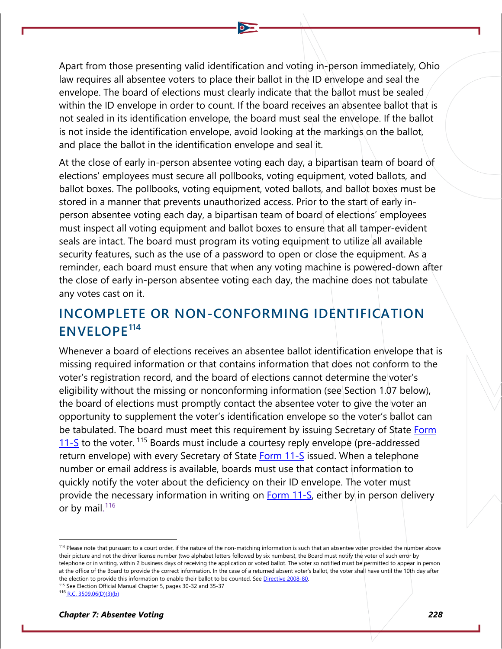Apart from those presenting valid identification and voting in-person immediately, Ohio law requires all absentee voters to place their ballot in the ID envelope and seal the envelope. The board of elections must clearly indicate that the ballot must be sealed within the ID envelope in order to count. If the board receives an absentee ballot that is not sealed in its identification envelope, the board must seal the envelope. If the ballot is not inside the identification envelope, avoid looking at the markings on the ballot, and place the ballot in the identification envelope and seal it.

At the close of early in-person absentee voting each day, a bipartisan team of board of elections' employees must secure all pollbooks, voting equipment, voted ballots, and ballot boxes. The pollbooks, voting equipment, voted ballots, and ballot boxes must be stored in a manner that prevents unauthorized access. Prior to the start of early inperson absentee voting each day, a bipartisan team of board of elections' employees must inspect all voting equipment and ballot boxes to ensure that all tamper-evident seals are intact. The board must program its voting equipment to utilize all available security features, such as the use of a password to open or close the equipment. As a reminder, each board must ensure that when any voting machine is powered-down after the close of early in-person absentee voting each day, the machine does not tabulate any votes cast on it.

## **INCOMPLETE OR NON-CONFORMING IDENTIFICATION ENVELOPE[114](#page-36-0)**

Whenever a board of elections receives an absentee ballot identification envelope that is missing required information or that contains information that does not conform to the voter's registration record, and the board of elections cannot determine the voter's eligibility without the missing or nonconforming information (see Section 1.07 below), the board of elections must promptly contact the absentee voter to give the voter an opportunity to supplement the voter's identification envelope so the voter's ballot can be tabulated. The board must meet this requirement by issuing Secretary of State Form  $11-$ S to the voter. <sup>[115](#page-36-1)</sup> Boards must include a courtesy reply envelope (pre-addressed return envelope) with every Secretary of State Form  $11-\sqrt{2}$  issued. When a telephone number or email address is available, boards must use that contact information to quickly notify the voter about the deficiency on their ID envelope. The voter must provide the necessary information in writing on **Form 11-S**, either by in person delivery or by mail.<sup>[116](#page-36-2)</sup>

<span id="page-36-0"></span><sup>114</sup> Please note that pursuant to a court order, if the nature of the non-matching information is such that an absentee voter provided the number above their picture and not the driver license number (two alphabet letters followed by six numbers), the Board must notify the voter of such error by telephone or in writing, within 2 business days of receiving the application or voted ballot. The voter so notified must be permitted to appear in person at the office of the Board to provide the correct information. In the case of a returned absent voter's ballot, the voter shall have until the 10th day after the election to provide this information to enable their ballot to be counted. Se[e Directive 2008-80.](https://www.sos.state.oh.us/globalassets/elections/directives/2008/dir2008-80.pdf)

<span id="page-36-1"></span><sup>115</sup> See Election Official Manual Chapter 5, pages 30-32 and 35-37

<span id="page-36-2"></span><sup>116</sup> [R.C. 3509.06\(D\)\(3\)\(b\)](https://codes.ohio.gov/ohio-revised-code/section-3509.06)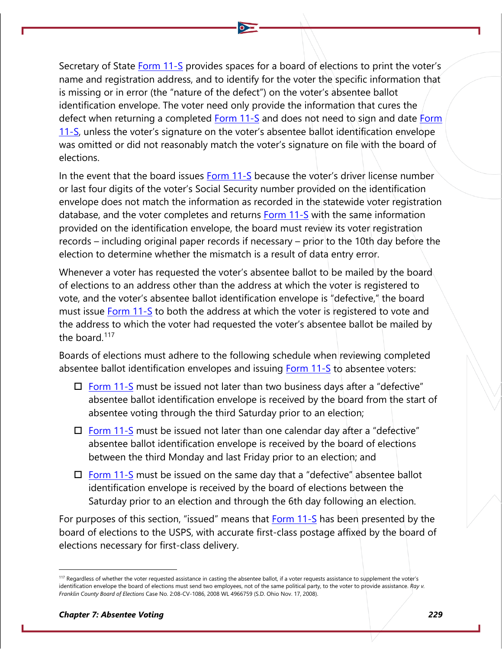Secretary of State [Form 11-S](https://www.ohiosos.gov/globalassets/elections/forms/11-S.pdf) provides spaces for a board of elections to print the voter's name and registration address, and to identify for the voter the specific information that is missing or in error (the "nature of the defect") on the voter's absentee ballot identification envelope. The voter need only provide the information that cures the defect when returning a completed [Form 11-S](https://www.ohiosos.gov/globalassets/elections/forms/11-S.pdf) and does not need to sign and date Form [11-S,](https://www.ohiosos.gov/globalassets/elections/forms/11-S.pdf) unless the voter's signature on the voter's absentee ballot identification envelope was omitted or did not reasonably match the voter's signature on file with the board of elections.

In the event that the board issues [Form 11-S](https://www.ohiosos.gov/globalassets/elections/forms/11-S.pdf) because the voter's driver license number or last four digits of the voter's Social Security number provided on the identification envelope does not match the information as recorded in the statewide voter registration database, and the voter completes and returns  $Form 11-S$  with the same information provided on the identification envelope, the board must review its voter registration records – including original paper records if necessary – prior to the 10th day before the election to determine whether the mismatch is a result of data entry error.

Whenever a voter has requested the voter's absentee ballot to be mailed by the board of elections to an address other than the address at which the voter is registered to vote, and the voter's absentee ballot identification envelope is "defective," the board must issue **Form 11-S** to both the address at which the voter is registered to vote and the address to which the voter had requested the voter's absentee ballot be mailed by the board.<sup>[117](#page-37-0)</sup>

Boards of elections must adhere to the following schedule when reviewing completed absentee ballot identification envelopes and issuing  $Form 11-S$  to absentee voters:

- $\Box$  [Form 11-S](https://www.ohiosos.gov/globalassets/elections/forms/11-S.pdf) must be issued not later than two business days after a "defective" absentee ballot identification envelope is received by the board from the start of absentee voting through the third Saturday prior to an election;
- $\Box$  [Form 11-S](https://www.ohiosos.gov/globalassets/elections/forms/11-S.pdf) must be issued not later than one calendar day after a "defective" absentee ballot identification envelope is received by the board of elections between the third Monday and last Friday prior to an election; and
- $\Box$  [Form 11-S](https://www.ohiosos.gov/globalassets/elections/forms/11-S.pdf) must be issued on the same day that a "defective" absentee ballot identification envelope is received by the board of elections between the Saturday prior to an election and through the 6th day following an election.

For purposes of this section, "issued" means that **Form 11-S** has been presented by the board of elections to the USPS, with accurate first-class postage affixed by the board of elections necessary for first-class delivery.

<span id="page-37-0"></span><sup>117</sup> Regardless of whether the voter requested assistance in casting the absentee ballot, if a voter requests assistance to supplement the voter's identification envelope the board of elections must send two employees, not of the same political party, to the voter to provide assistance. *Ray v. Franklin County Board of Elections* Case No. 2:08-CV-1086, 2008 WL 4966759 (S.D. Ohio Nov. 17, 2008).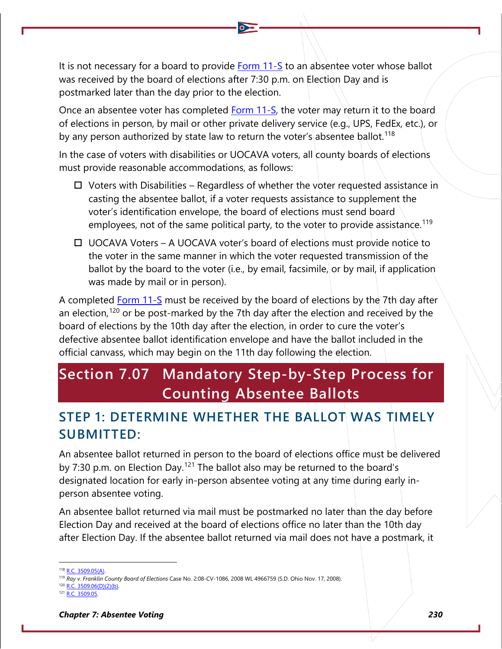It is not necessary for a board to provide  $Form 11-S$  to an absentee voter whose ballot was received by the board of elections after 7:30 p.m. on Election Day and is postmarked later than the day prior to the election.

Once an absentee voter has completed [Form 11-S,](https://www.ohiosos.gov/globalassets/elections/forms/11-S.pdf) the voter may return it to the board of elections in person, by mail or other private delivery service (e.g., UPS, FedEx, etc.), or by any person authorized by state law to return the voter's absentee ballot.<sup>[118](#page-38-0)</sup>

In the case of voters with disabilities or UOCAVA voters, all county boards of elections must provide reasonable accommodations, as follows:

- $\Box$  Voters with Disabilities Regardless of whether the voter requested assistance in casting the absentee ballot, if a voter requests assistance to supplement the voter's identification envelope, the board of elections must send board employees, not of the same political party, to the voter to provide assistance.<sup>[119](#page-38-1)</sup>
- UOCAVA Voters A UOCAVA voter's board of elections must provide notice to the voter in the same manner in which the voter requested transmission of the ballot by the board to the voter (i.e., by email, facsimile, or by mail, if application was made by mail or in person).

A completed [Form 11-S](https://www.ohiosos.gov/globalassets/elections/forms/11-S.pdf) must be received by the board of elections by the 7th day after an election,<sup>[120](#page-38-2)</sup> or be post-marked by the 7th day after the election and received by the board of elections by the 10th day after the election, in order to cure the voter's defective absentee ballot identification envelope and have the ballot included in the official canvass, which may begin on the 11th day following the election.

# **Section 7.07 Mandatory Step-by-Step Process for Counting Absentee Ballots**

## **STEP 1: DETERMINE WHETHER THE BALLOT WAS TIMELY SUBMITTED:**

An absentee ballot returned in person to the board of elections office must be delivered by 7:30 p.m. on Election Day.<sup>[121](#page-38-3)</sup> The ballot also may be returned to the board's designated location for early in-person absentee voting at any time during early inperson absentee voting.

An absentee ballot returned via mail must be postmarked no later than the day before Election Day and received at the board of elections office no later than the 10th day after Election Day. If the absentee ballot returned via mail does not have a postmark, it

<span id="page-38-0"></span><sup>118</sup> R.C. 3509.05(A)

<span id="page-38-1"></span><sup>119</sup> *Ray v. Franklin County Board of Elections* Case No. 2:08-CV-1086, 2008 WL 4966759 (S.D. Ohio Nov. 17, 2008).

<span id="page-38-2"></span> $120$  [R.C. 3509.06\(D\)\(2\)\(b\).](http://codes.ohio.gov/orc/3509.06)

<span id="page-38-3"></span> $121 R C$  3509.05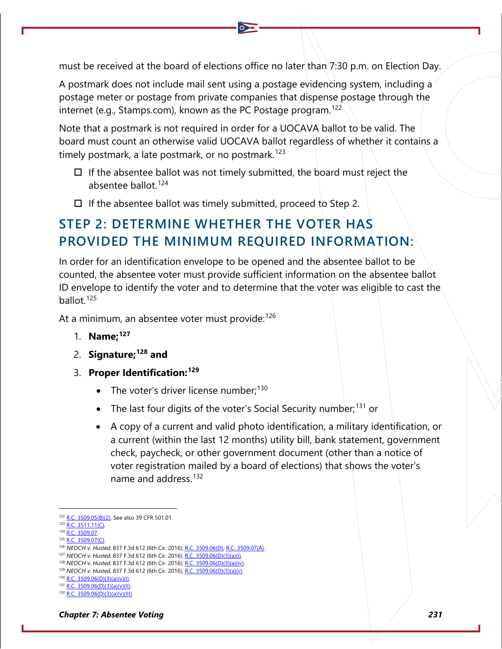must be received at the board of elections office no later than 7:30 p.m. on Election Day.

A postmark does not include mail sent using a postage evidencing system, including a postage meter or postage from private companies that dispense postage through the internet (e.g., Stamps.com), known as the PC Postage program.<sup>[122](#page-39-0)</sup>

Note that a postmark is not required in order for a UOCAVA ballot to be valid. The board must count an otherwise valid UOCAVA ballot regardless of whether it contains a timely postmark, a late postmark, or no postmark.<sup>[123](#page-39-1)</sup>

- $\Box$  If the absentee ballot was not timely submitted, the board must reject the absentee ballot.<sup>[124](#page-39-2)</sup>
- $\Box$  If the absentee ballot was timely submitted, proceed to Step 2.

## **STEP 2: DETERMINE WHETHER THE VOTER HAS PROVIDED THE MINIMUM REQUIRED INFORMATION:**

In order for an identification envelope to be opened and the absentee ballot to be counted, the absentee voter must provide sufficient information on the absentee ballot ID envelope to identify the voter and to determine that the voter was eligible to cast the ballot.[125](#page-39-3)

At a minimum, an absentee voter must provide:<sup>[126](#page-39-4)</sup>

- 1. **Name;[127](#page-39-5)**
- 2. **Signature;[128](#page-39-6) and**
- 3. **Proper Identification:[129](#page-39-7)**
	- The voter's driver license number; $130$
	- The last four digits of the voter's Social Security number;<sup>[131](#page-39-9)</sup> or
	- A copy of a current and valid photo identification, a military identification, or a current (within the last 12 months) utility bill, bank statement, government check, paycheck, or other government document (other than a notice of voter registration mailed by a board of elections) that shows the voter's name and address.[132](#page-39-10)

<span id="page-39-0"></span><sup>122</sup> [R.C. 3509.05\(B\)\(2\).](http://codes.ohio.gov/orc/3509.05) See also 39 CFR 501.01.

<span id="page-39-2"></span><span id="page-39-1"></span><sup>123</sup> [R.C. 3511.11\(C\).](http://codes.ohio.gov/orc/3511.11) <sup>124</sup> [R.C. 3509.07.](http://codes.ohio.gov/orc/3509.07)

<sup>&</sup>lt;sup>125</sup> [R.C. 3509.07\(C\).](http://codes.ohio.gov/orc/3509.07)

<span id="page-39-4"></span><span id="page-39-3"></span><sup>126</sup> *NEOCH v. Husted*, 837 F.3d 612 (6th Cir. 2016); [R.C. 3509.06\(D\),](http://codes.ohio.gov/orc/3509.06) [R.C. 3509.07\(A\).](http://codes.ohio.gov/orc/3509.07)

<span id="page-39-5"></span><sup>127</sup> *NEOCH v. Husted*, 837 F.3d 612 (6th Cir. 2016); [R.C. 3509.06\(D\)\(3\)\(a\)\(i\).](http://codes.ohio.gov/orc/3509.06)

<span id="page-39-6"></span><sup>128</sup> *NEOCH v. Husted*, 837 F.3d 612 (6th Cir. 2016); [R.C. 3509.06\(D\)\(3\)\(a\)\(iv\).](http://codes.ohio.gov/orc/3509.06)

<span id="page-39-7"></span><sup>129</sup> *NEOCH v. Husted*, 837 F.3d 612 (6th Cir. 2016); [R.C. 3509.06\(D\)\(3\)\(a\)\(v\).](http://codes.ohio.gov/orc/3509.06)

<span id="page-39-8"></span><sup>130</sup> [R.C. 3509.06\(D\)\(3\)\(a\)\(v\)\(I\).](http://codes.ohio.gov/orc/3509.06)

<span id="page-39-9"></span><sup>131</sup> [R.C. 3509.06\(D\)\(3\)\(a\)\(v\)\(II\).](http://codes.ohio.gov/orc/3509.06)

<span id="page-39-10"></span><sup>132</sup> [R.C. 3509.06\(D\)\(3\)\(a\)\(v\)\(III\).](http://codes.ohio.gov/orc/3509.06)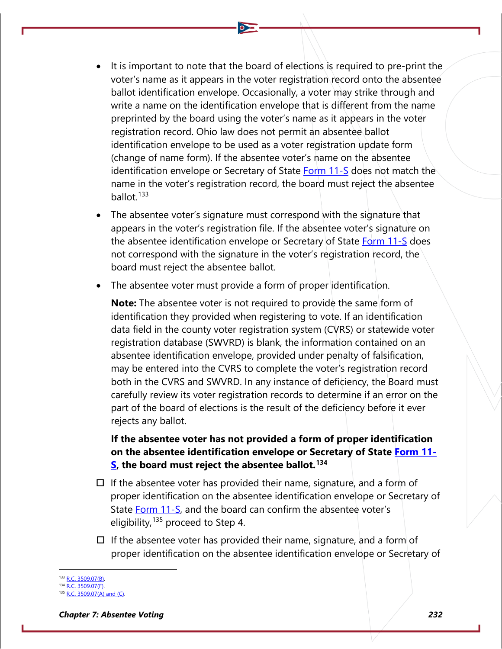- It is important to note that the board of elections is required to pre-print the voter's name as it appears in the voter registration record onto the absentee ballot identification envelope. Occasionally, a voter may strike through and write a name on the identification envelope that is different from the name preprinted by the board using the voter's name as it appears in the voter registration record. Ohio law does not permit an absentee ballot identification envelope to be used as a voter registration update form (change of name form). If the absentee voter's name on the absentee identification envelope or Secretary of State **Form 11-S** does not match the name in the voter's registration record, the board must reject the absentee ballot.[133](#page-40-0)
- The absentee voter's signature must correspond with the signature that appears in the voter's registration file. If the absentee voter's signature on the absentee identification envelope or Secretary of State [Form 11-S](https://www.ohiosos.gov/globalassets/elections/forms/11-S.pdf) does not correspond with the signature in the voter's registration record, the board must reject the absentee ballot.
- The absentee voter must provide a form of proper identification.

**Note:** The absentee voter is not required to provide the same form of identification they provided when registering to vote. If an identification data field in the county voter registration system (CVRS) or statewide voter registration database (SWVRD) is blank, the information contained on an absentee identification envelope, provided under penalty of falsification, may be entered into the CVRS to complete the voter's registration record both in the CVRS and SWVRD. In any instance of deficiency, the Board must carefully review its voter registration records to determine if an error on the part of the board of elections is the result of the deficiency before it ever rejects any ballot.

#### **If the absentee voter has not provided a form of proper identification on the absentee identification envelope or Secretary of State [Form 11-](https://www.ohiosos.gov/globalassets/elections/forms/11-S.pdf) [S,](https://www.ohiosos.gov/globalassets/elections/forms/11-S.pdf) the board must reject the absentee ballot.[134](#page-40-1)**

- $\Box$  If the absentee voter has provided their name, signature, and a form of proper identification on the absentee identification envelope or Secretary of State [Form 11-S,](https://www.ohiosos.gov/globalassets/elections/forms/11-S.pdf) and the board can confirm the absentee voter's eligibility,  $135$  proceed to Step 4.
- $\Box$  If the absentee voter has provided their name, signature, and a form of proper identification on the absentee identification envelope or Secretary of

<span id="page-40-0"></span><sup>&</sup>lt;sup>133</sup> [R.C. 3509.07\(B\).](http://codes.ohio.gov/orc/3509.07)

<sup>134</sup> [R.C. 3509.07\(F\).](http://codes.ohio.gov/orc/3509.07)

<span id="page-40-2"></span><span id="page-40-1"></span>[R.C. 3509.07\(A\) and \(C\).](http://codes.ohio.gov/orc/3509.07)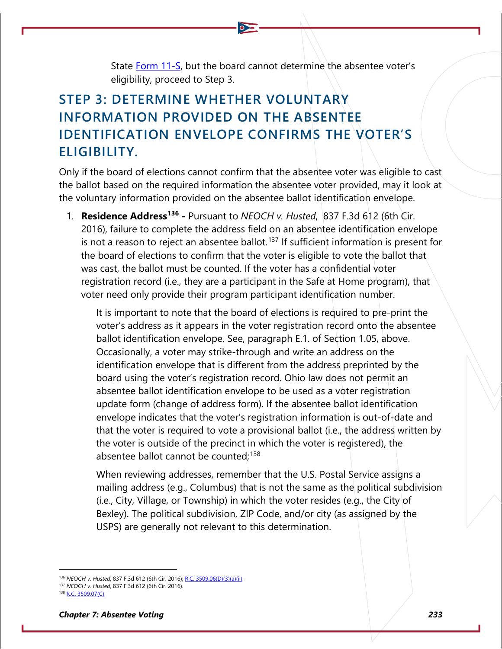State [Form 11-S,](https://www.ohiosos.gov/globalassets/elections/forms/11-S.pdf) but the board cannot determine the absentee voter's eligibility, proceed to Step 3.

## **STEP 3: DETERMINE WHETHER VOLUNTARY INFORMATION PROVIDED ON THE ABSENTEE IDENTIFICATION ENVELOPE CONFIRMS THE VOTER'S ELIGIBILITY.**

Only if the board of elections cannot confirm that the absentee voter was eligible to cast the ballot based on the required information the absentee voter provided, may it look at the voluntary information provided on the absentee ballot identification envelope.

1. **Residence Address[136](#page-41-0) -** Pursuant to *NEOCH v. Husted*, 837 F.3d 612 (6th Cir. 2016), failure to complete the address field on an absentee identification envelope is not a reason to reject an absentee ballot.<sup>[137](#page-41-1)</sup> If sufficient information is present for the board of elections to confirm that the voter is eligible to vote the ballot that was cast, the ballot must be counted. If the voter has a confidential voter registration record (i.e., they are a participant in the Safe at Home program), that voter need only provide their program participant identification number.

It is important to note that the board of elections is required to pre-print the voter's address as it appears in the voter registration record onto the absentee ballot identification envelope. See, paragraph E.1. of Section 1.05, above. Occasionally, a voter may strike-through and write an address on the identification envelope that is different from the address preprinted by the board using the voter's registration record. Ohio law does not permit an absentee ballot identification envelope to be used as a voter registration update form (change of address form). If the absentee ballot identification envelope indicates that the voter's registration information is out-of-date and that the voter is required to vote a provisional ballot (i.e., the address written by the voter is outside of the precinct in which the voter is registered), the absentee ballot cannot be counted; $^{138}$  $^{138}$  $^{138}$ 

When reviewing addresses, remember that the U.S. Postal Service assigns a mailing address (e.g., Columbus) that is not the same as the political subdivision (i.e., City, Village, or Township) in which the voter resides (e.g., the City of Bexley). The political subdivision, ZIP Code, and/or city (as assigned by the USPS) are generally not relevant to this determination.

<sup>136</sup> *NEOCH v. Husted*, 837 F.3d 612 (6th Cir. 2016); [R.C. 3509.06\(D\)\(3\)\(a\)\(ii\).](http://codes.ohio.gov/orc/3509.06)

<span id="page-41-1"></span><span id="page-41-0"></span><sup>137</sup> *NEOCH v. Husted*, 837 F.3d 612 (6th Cir. 2016).

<span id="page-41-2"></span><sup>138</sup> [R.C. 3509.07\(C\).](http://codes.ohio.gov/orc/3509.07)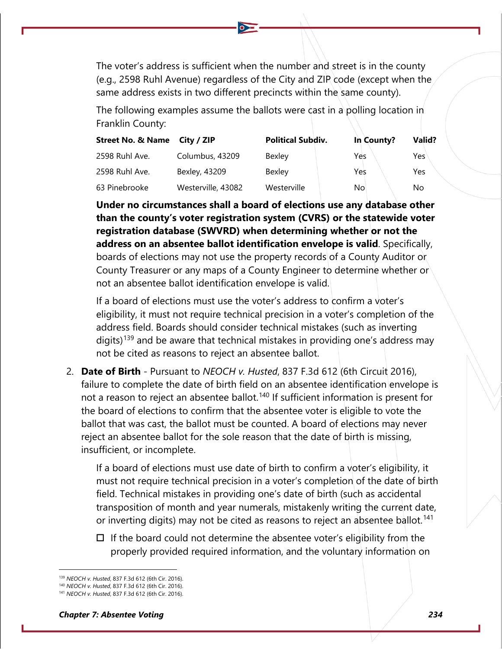The voter's address is sufficient when the number and street is in the county (e.g., 2598 Ruhl Avenue) regardless of the City and ZIP code (except when the same address exists in two different precincts within the same county).

The following examples assume the ballots were cast in a polling location in Franklin County:

| <b>Street No. &amp; Name</b> | City / ZIP         | <b>Political Subdiv.</b> | In County? | Valid? |
|------------------------------|--------------------|--------------------------|------------|--------|
| 2598 Ruhl Ave.               | Columbus, 43209    | Bexley                   | Yes        | Yes    |
| 2598 Ruhl Ave.               | Bexley, 43209      | Bexley                   | Yes        | Yes    |
| 63 Pinebrooke                | Westerville, 43082 | Westerville              | No         | No.    |

**Under no circumstances shall a board of elections use any database other than the county's voter registration system (CVRS) or the statewide voter registration database (SWVRD) when determining whether or not the address on an absentee ballot identification envelope is valid**. Specifically, boards of elections may not use the property records of a County Auditor or County Treasurer or any maps of a County Engineer to determine whether or not an absentee ballot identification envelope is valid.

If a board of elections must use the voter's address to confirm a voter's eligibility, it must not require technical precision in a voter's completion of the address field. Boards should consider technical mistakes (such as inverting digits)<sup>[139](#page-42-0)</sup> and be aware that technical mistakes in providing one's address may not be cited as reasons to reject an absentee ballot.

2. **Date of Birth** - Pursuant to *NEOCH v. Husted*, 837 F.3d 612 (6th Circuit 2016), failure to complete the date of birth field on an absentee identification envelope is not a reason to reject an absentee ballot.<sup>[140](#page-42-1)</sup> If sufficient information is present for the board of elections to confirm that the absentee voter is eligible to vote the ballot that was cast, the ballot must be counted. A board of elections may never reject an absentee ballot for the sole reason that the date of birth is missing, insufficient, or incomplete.

If a board of elections must use date of birth to confirm a voter's eligibility, it must not require technical precision in a voter's completion of the date of birth field. Technical mistakes in providing one's date of birth (such as accidental transposition of month and year numerals, mistakenly writing the current date, or inverting digits) may not be cited as reasons to reject an absentee ballot.<sup>[141](#page-42-2)</sup>

 $\Box$  If the board could not determine the absentee voter's eligibility from the properly provided required information, and the voluntary information on

<span id="page-42-0"></span><sup>139</sup> *NEOCH v. Husted*, 837 F.3d 612 (6th Cir. 2016).

<span id="page-42-2"></span><span id="page-42-1"></span><sup>140</sup> *NEOCH v. Husted*, 837 F.3d 612 (6th Cir. 2016).

<sup>141</sup> *NEOCH v. Husted*, 837 F.3d 612 (6th Cir. 2016).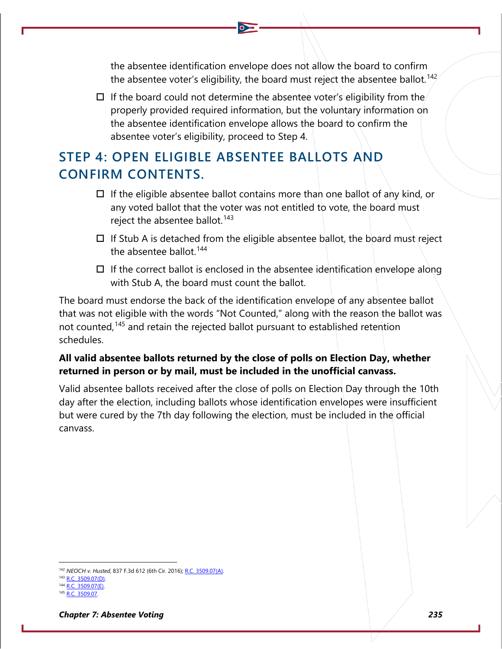the absentee identification envelope does not allow the board to confirm the absentee voter's eligibility, the board must reject the absentee ballot.<sup>[142](#page-43-0)</sup>

 $\Box$  If the board could not determine the absentee voter's eligibility from the properly provided required information, but the voluntary information on the absentee identification envelope allows the board to confirm the absentee voter's eligibility, proceed to Step 4.

## **STEP 4: OPEN ELIGIBLE ABSENTEE BALLOTS AND CONFIRM CONTENTS.**

- $\Box$  If the eligible absentee ballot contains more than one ballot of any kind, or any voted ballot that the voter was not entitled to vote, the board must reject the absentee ballot.<sup>[143](#page-43-1)</sup>
- $\Box$  If Stub A is detached from the eligible absentee ballot, the board must reject the absentee ballot. $144$
- $\Box$  If the correct ballot is enclosed in the absentee identification envelope along with Stub A, the board must count the ballot.

The board must endorse the back of the identification envelope of any absentee ballot that was not eligible with the words "Not Counted," along with the reason the ballot was not counted,[145](#page-43-3) and retain the rejected ballot pursuant to established retention schedules.

### **All valid absentee ballots returned by the close of polls on Election Day, whether returned in person or by mail, must be included in the unofficial canvass.**

Valid absentee ballots received after the close of polls on Election Day through the 10th day after the election, including ballots whose identification envelopes were insufficient but were cured by the 7th day following the election, must be included in the official canvass.

<span id="page-43-0"></span><sup>142</sup> *NEOCH v. Husted*, 837 F.3d 612 (6th Cir. 2016); [R.C. 3509.07\(A\).](http://codes.ohio.gov/orc/3509.07)

<span id="page-43-2"></span><span id="page-43-1"></span><sup>143</sup> [R.C. 3509.07\(D\).](http://codes.ohio.gov/orc/3509.07)

<sup>144</sup> [R.C. 3509.07\(E\).](http://codes.ohio.gov/orc/3509.07)

<span id="page-43-3"></span><sup>145</sup> [R.C. 3509.07.](http://codes.ohio.gov/orc/3509.07)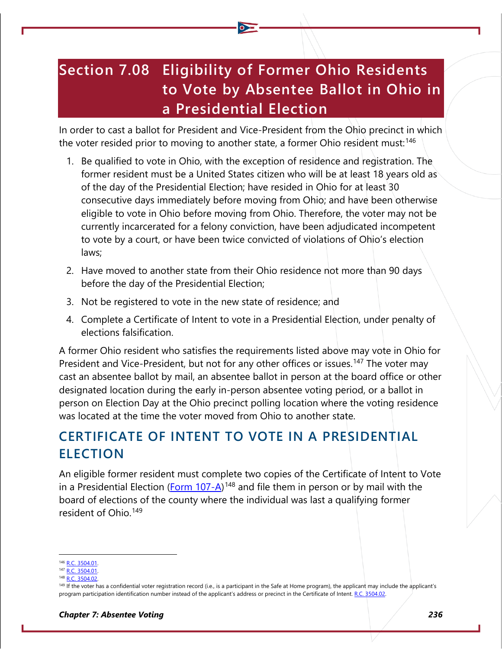# **Section 7.08 Eligibility of Former Ohio Residents to Vote by Absentee Ballot in Ohio in a Presidential Election**

In order to cast a ballot for President and Vice-President from the Ohio precinct in which the voter resided prior to moving to another state, a former Ohio resident must:<sup>[146](#page-44-0)</sup>

- 1. Be qualified to vote in Ohio, with the exception of residence and registration. The former resident must be a United States citizen who will be at least 18 years old as of the day of the Presidential Election; have resided in Ohio for at least 30 consecutive days immediately before moving from Ohio; and have been otherwise eligible to vote in Ohio before moving from Ohio. Therefore, the voter may not be currently incarcerated for a felony conviction, have been adjudicated incompetent to vote by a court, or have been twice convicted of violations of Ohio's election laws;
- 2. Have moved to another state from their Ohio residence not more than 90 days before the day of the Presidential Election;
- 3. Not be registered to vote in the new state of residence; and
- 4. Complete a Certificate of Intent to vote in a Presidential Election, under penalty of elections falsification.

A former Ohio resident who satisfies the requirements listed above may vote in Ohio for President and Vice-President, but not for any other offices or issues.<sup>[147](#page-44-1)</sup> The voter may cast an absentee ballot by mail, an absentee ballot in person at the board office or other designated location during the early in-person absentee voting period, or a ballot in person on Election Day at the Ohio precinct polling location where the voting residence was located at the time the voter moved from Ohio to another state.

## **CERTIFICATE OF INTENT TO VOTE IN A PRESIDENTIAL ELECTION**

An eligible former resident must complete two copies of the Certificate of Intent to Vote in a Presidential Election [\(Form 107-A\)](https://www.ohiosos.gov/globalassets/elections/forms/107-A.pdf)<sup>[148](#page-44-2)</sup> and file them in person or by mail with the board of elections of the county where the individual was last a qualifying former resident of Ohio.<sup>[149](#page-44-3)</sup>

<span id="page-44-0"></span><sup>&</sup>lt;sup>6</sup> [R.C. 3504.01.](http://codes.ohio.gov/orc/3504.01)

<span id="page-44-1"></span><sup>&</sup>lt;sup>147</sup> [R.C. 3504.01.](http://codes.ohio.gov/orc/3504.01)

<sup>48</sup> R.C. 3504.02

<span id="page-44-3"></span><span id="page-44-2"></span><sup>&</sup>lt;sup>149</sup> If the voter has a confidential voter registration record (i.e., is a participant in the Safe at Home program), the applicant may include the applicant's program participation identification number instead of the applicant's address or precinct in the Certificate of Intent[. R.C. 3504.02.](http://codes.ohio.gov/orc/3504.02)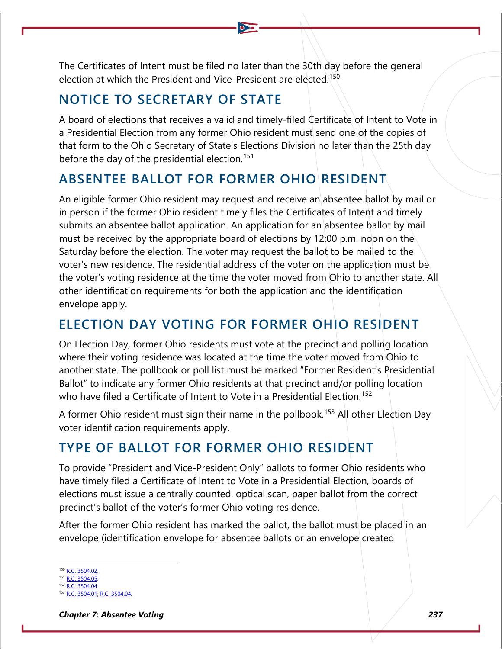The Certificates of Intent must be filed no later than the 30th day before the general election at which the President and Vice-President are elected.[150](#page-45-0)

### **NOTICE TO SECRETARY OF STATE**

A board of elections that receives a valid and timely-filed Certificate of Intent to Vote in a Presidential Election from any former Ohio resident must send one of the copies of that form to the Ohio Secretary of State's Elections Division no later than the 25th day before the day of the presidential election.<sup>[151](#page-45-1)</sup>

## **ABSENTEE BALLOT FOR FORMER OHIO RESIDENT**

An eligible former Ohio resident may request and receive an absentee ballot by mail or in person if the former Ohio resident timely files the Certificates of Intent and timely submits an absentee ballot application. An application for an absentee ballot by mail must be received by the appropriate board of elections by 12:00 p.m. noon on the Saturday before the election. The voter may request the ballot to be mailed to the voter's new residence. The residential address of the voter on the application must be the voter's voting residence at the time the voter moved from Ohio to another state. All other identification requirements for both the application and the identification envelope apply.

### **ELECTION DAY VOTING FOR FORMER OHIO RESIDENT**

On Election Day, former Ohio residents must vote at the precinct and polling location where their voting residence was located at the time the voter moved from Ohio to another state. The pollbook or poll list must be marked "Former Resident's Presidential Ballot" to indicate any former Ohio residents at that precinct and/or polling location who have filed a Certificate of Intent to Vote in a Presidential Election.<sup>[152](#page-45-2)</sup>

A former Ohio resident must sign their name in the pollbook.<sup>[153](#page-45-3)</sup> All other Election Day voter identification requirements apply.

### **TYPE OF BALLOT FOR FORMER OHIO RESIDENT**

To provide "President and Vice-President Only" ballots to former Ohio residents who have timely filed a Certificate of Intent to Vote in a Presidential Election, boards of elections must issue a centrally counted, optical scan, paper ballot from the correct precinct's ballot of the voter's former Ohio voting residence.

After the former Ohio resident has marked the ballot, the ballot must be placed in an envelope (identification envelope for absentee ballots or an envelope created

<span id="page-45-0"></span><sup>&</sup>lt;sup>150</sup> [R.C. 3504.02.](http://codes.ohio.gov/orc/3504.02)

<sup>151</sup> R.C. 3504.05

<span id="page-45-3"></span><span id="page-45-2"></span><span id="page-45-1"></span> $52$  [R.C. 3504.04.](http://codes.ohio.gov/orc/3504.04) [R.C. 3504.01;](http://codes.ohio.gov/orc/3504.01) [R.C. 3504.04.](http://codes.ohio.gov/orc/3504.04)